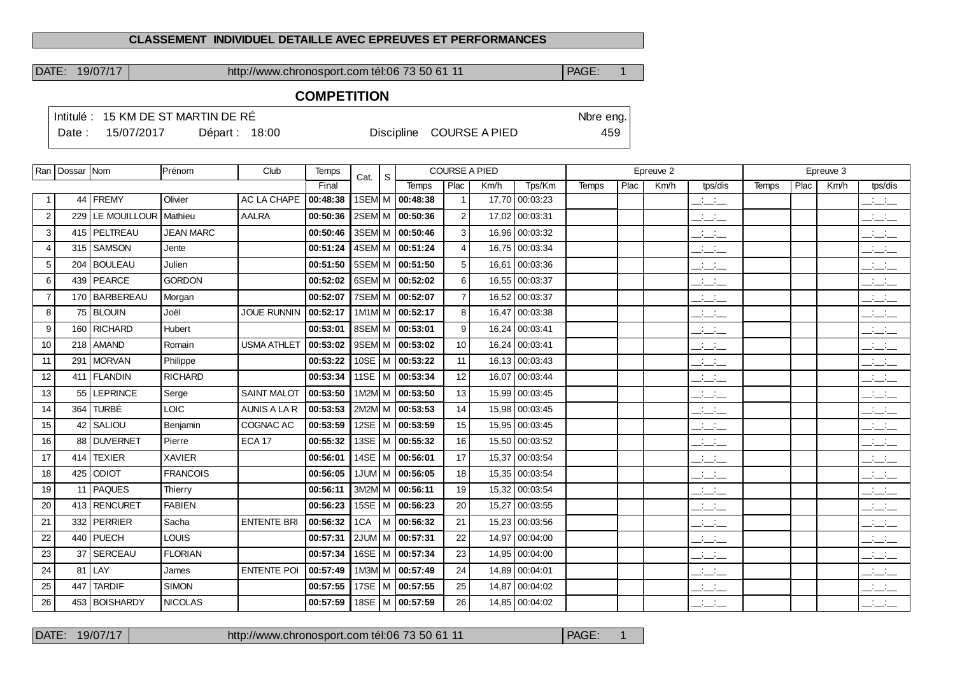#### **CLASSEMENT INDIVIDUEL DETAILLE AVEC EPREUVES ET PERFORMANCES**

DATE: 19/07/17 http://www.chronosport.com tél:06 73 50 61 11 PAGE: 1

### **COMPETITION**

|        |            | Intitulé : 15 KM DE ST MARTIN DE RÉ |                          | Nbre eng. |  |
|--------|------------|-------------------------------------|--------------------------|-----------|--|
| Date : | 15/07/2017 | Départ: $18:00$                     | Discipline COURSE A PIED | 459       |  |

|                | Ran   Dossar   Nom |                        | Prénom           | Club                | Temps    | Cat.        | S |                     | <b>COURSE A PIED</b> |       |                |              |      | Epreuve 2 |                                   |              |      | Epreuve 3 |                                              |
|----------------|--------------------|------------------------|------------------|---------------------|----------|-------------|---|---------------------|----------------------|-------|----------------|--------------|------|-----------|-----------------------------------|--------------|------|-----------|----------------------------------------------|
|                |                    |                        |                  |                     | Final    |             |   | <b>Temps</b>        | Plac                 | Km/h  | Tps/Km         | <b>Temps</b> | Plac | Km/h      | tps/dis                           | <b>Temps</b> | Plac | Km/h      | tps/dis                                      |
| -1             |                    | 44   FREMY             | Olivier          | AC LA CHAPE         | 00:48:38 |             |   | 1SEM M 00:48:38     | $\overline{1}$       |       | 17,70 00:03:23 |              |      |           | $\frac{1}{2}$                     |              |      |           | للمناصب                                      |
| 2              | 229                | LE MOUILLOUR   Mathieu |                  | <b>AALRA</b>        | 00:50:36 |             |   | 2SEM M 00:50:36     | 2                    |       | 17,02 00:03:31 |              |      |           | $  -$                             |              |      |           | $\frac{1}{2}$ and $\frac{1}{2}$              |
| 3              |                    | 415   PELTREAU         | <b>JEAN MARC</b> |                     | 00:50:46 |             |   | 3SEM M 00:50:46     | 3                    |       | 16,96 00:03:32 |              |      |           | للمناسب                           |              |      |           | $\frac{1}{2}$ and $\frac{1}{2}$              |
| $\overline{4}$ |                    | 315 SAMSON             | Jente            |                     | 00:51:24 |             |   | 4SEM M 00:51:24     | $\overline{4}$       |       | 16,75 00:03:34 |              |      |           | <b>Contract</b><br>$  -$          |              |      |           | للأسائل                                      |
| 5              |                    | 204 BOULEAU            | Julien           |                     | 00:51:50 |             |   | 5SEM M 00:51:50     | 5                    |       | 16,61 00:03:36 |              |      |           | للمناصب                           |              |      |           | $\frac{1}{2}$ and $\frac{1}{2}$              |
| 6              |                    | 439   PEARCE           | <b>GORDON</b>    |                     | 00:52:02 |             |   | 6SEM M 00:52:02     | 6                    |       | 16,55 00:03:37 |              |      |           | للمستحق                           |              |      |           | للمستنقذ                                     |
| $\overline{7}$ |                    | 170 BARBEREAU          | Morgan           |                     | 00:52:07 |             |   | 7SEM M 00:52:07     | $\overline{7}$       |       | 16,52 00:03:37 |              |      |           | $\overline{\phantom{a}}$          |              |      |           | للأسائل                                      |
| 8              |                    | 75 BLOUIN              | Joël             | <b>JOUE RUNNIN</b>  | 00:52:17 |             |   | 1M1M M 00:52:17     | 8                    |       | 16,47 00:03:38 |              |      |           | $\mathcal{L} = \mathcal{L}$       |              |      |           | $\mathcal{A} \subset \mathcal{A}$ .<br>$  -$ |
| 9              |                    | 160 RICHARD            | Hubert           |                     | 00:53:01 |             |   | 8SEM M 00:53:01     | 9                    |       | 16,24 00:03:41 |              |      |           | $\mathbb{Z}$ and $\mathbb{Z}$     |              |      |           | $\mathbb{R}$ and $\mathbb{R}$                |
| 10             |                    | 218   AMAND            | Romain           | <b>USMA ATHLET</b>  | 00:53:02 |             |   | 9SEM M 00:53:02     | 10                   |       | 16,24 00:03:41 |              |      |           | <b>Contract Contract</b><br>$  -$ |              |      |           | <b>Contract Contract</b><br>$  -$            |
| 11             |                    | 291 MORVAN             | Philippe         |                     | 00:53:22 |             |   | 10SE   M   00:53:22 | 11                   |       | 16,13 00:03:43 |              |      |           | $\mathbb{Z}$ and $\mathbb{Z}$     |              |      |           | $\frac{1}{2}$ and $\frac{1}{2}$              |
| 12             |                    | 411   FLANDIN          | <b>RICHARD</b>   |                     | 00:53:34 |             |   | 11SE   M   00:53:34 | 12                   |       | 16,07 00:03:44 |              |      |           | $ -$                              |              |      |           | $\frac{1}{2}$ and $\frac{1}{2}$              |
| 13             | 55                 | <b>LEPRINCE</b>        | Serge            | <b>SAINT MALOT</b>  | 00:53:50 |             |   | 1M2M M 00:53:50     | 13                   | 15.99 | 00:03:45       |              |      |           | $\frac{1}{2}$ and $\frac{1}{2}$   |              |      |           | $\mathbb{R}$ and $\mathbb{R}$                |
| 14             |                    | 364 TURBÉ              | <b>LOIC</b>      | <b>AUNIS A LA R</b> | 00:53:53 |             |   | 2M2M M 00:53:53     | 14                   |       | 15,98 00:03:45 |              |      |           | للمناصب                           |              |      |           | للأسائل                                      |
| 15             |                    | 42 SALIOU              | Benjamin         | COGNAC AC           | 00:53:59 |             |   | 12SE   M   00:53:59 | 15                   |       | 15,95 00:03:45 |              |      |           | $\mathbb{R}$ and $\mathbb{R}$     |              |      |           | $\frac{1}{2}$ $\frac{1}{2}$ $\frac{1}{2}$    |
| 16             |                    | 88 DUVERNET            | Pierre           | <b>ECA 17</b>       | 00:55:32 | 13SE        |   | M 00:55:32          | 16                   |       | 15,50 00:03:52 |              |      |           | <b>Contractor</b><br>$  -$        |              |      |           | <b>Contract</b><br>$  -$                     |
| 17             |                    | 414 TEXIER             | <b>XAVIER</b>    |                     | 00:56:01 |             |   | 14SE   M   00:56:01 | 17                   |       | 15,37 00:03:54 |              |      |           | $\frac{1}{2}$                     |              |      |           | سأنسأ                                        |
| 18             |                    | 425 ODIOT              | <b>FRANCOIS</b>  |                     | 00:56:05 |             |   | 1JUM   M   00:56:05 | 18                   |       | 15,35 00:03:54 |              |      |           | $\frac{1}{2}$                     |              |      |           | $\overline{\phantom{a}}$                     |
| 19             |                    | 11   PAQUES            | Thierry          |                     | 00:56:11 |             |   | 3M2M M 00:56:11     | 19                   |       | 15,32 00:03:54 |              |      |           | للأساب                            |              |      |           | $\frac{1}{2}$                                |
| 20             |                    | 413 RENCURET           | <b>FABIEN</b>    |                     | 00:56:23 | <b>15SE</b> |   | M   00:56:23        | 20                   |       | 15,27 00:03:55 |              |      |           | $\mathcal{L} = \mathcal{L}$       |              |      |           | $\frac{1}{2}$                                |
| 21             |                    | 332 PERRIER            | Sacha            | <b>ENTENTE BRI</b>  | 00:56:32 | 1CA         |   | M 100:56:32         | 21                   |       | 15,23 00:03:56 |              |      |           | للمستحق                           |              |      |           | للمستنقذ                                     |
| 22             |                    | 440 PUECH              | <b>LOUIS</b>     |                     | 00:57:31 |             |   | 2JUM M 00:57:31     | 22                   |       | 14,97 00:04:00 |              |      |           | للمناسب                           |              |      |           | $\mathbb{Z}$ and $\mathbb{Z}$                |
| 23             | 37 <sup>1</sup>    | <b>SERCEAU</b>         | <b>FLORIAN</b>   |                     | 00:57:34 | 16SE        |   | M   00:57:34        | 23                   |       | 14,95 00:04:00 |              |      |           | $\mathbb{Z}$ and $\mathbb{Z}$     |              |      |           | $\mathbb{Z}$ and $\mathbb{Z}$                |
| 24             |                    | 81 LAY                 | James            | <b>ENTENTE POI</b>  | 00:57:49 |             |   | 1M3M M 00:57:49     | 24                   |       | 14,89 00:04:01 |              |      |           | <b>Contract</b><br>$  -$          |              |      |           | $\mathbb{R}$ and $\mathbb{R}$                |
| 25             | 447                | <b>TARDIF</b>          | <b>SIMON</b>     |                     | 00:57:55 |             |   | 17SE   M   00:57:55 | 25                   |       | 14,87 00:04:02 |              |      |           | للأساب                            |              |      |           | <b>Contract Contract</b><br>$  -$            |
| 26             |                    | 453 BOISHARDY          | <b>NICOLAS</b>   |                     | 00:57:59 |             |   | 18SE   M   00:57:59 | 26                   |       | 14,85 00:04:02 |              |      |           | $ -$                              |              |      |           | $ -$                                         |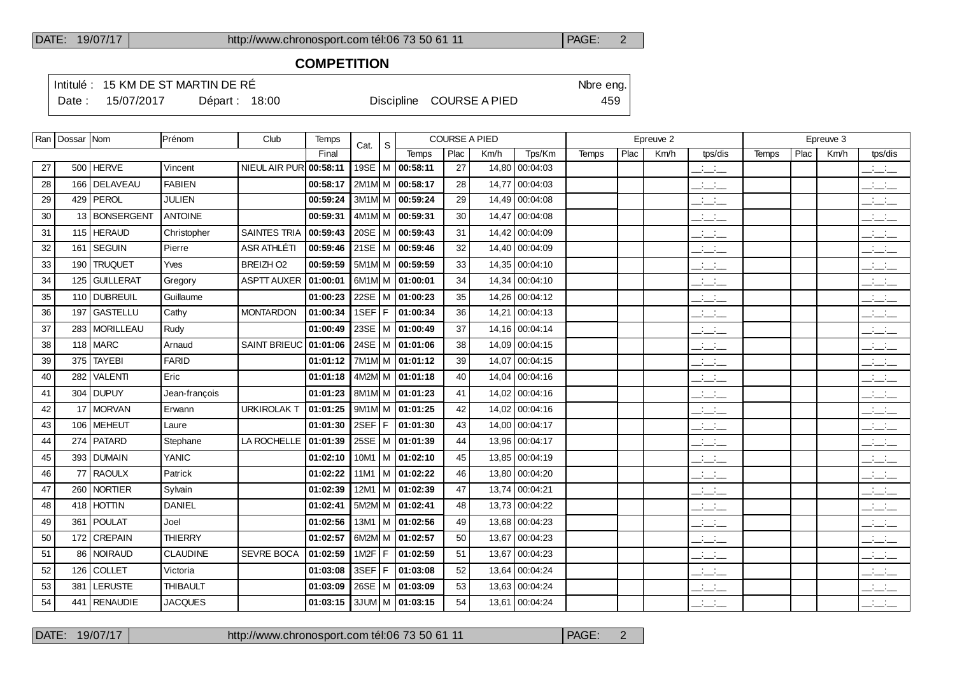#### **COMPETITION**

Intitulé : 15 KM DE ST MARTIN DE RÉ

Date : 15/07/2017 Départ : 18:00 Discipline COURSE A PIED 459

|    | Ran   Dossar   Nom |                  | IPrénom         | Club                | Temps    | Cat.      | S   |                             | <b>COURSE A PIED</b> |       |                |              |      | Epreuve 2 |                                                     |       |      | Epreuve 3 |                                                                                                                                                                                                                                                                                                                     |
|----|--------------------|------------------|-----------------|---------------------|----------|-----------|-----|-----------------------------|----------------------|-------|----------------|--------------|------|-----------|-----------------------------------------------------|-------|------|-----------|---------------------------------------------------------------------------------------------------------------------------------------------------------------------------------------------------------------------------------------------------------------------------------------------------------------------|
|    |                    |                  |                 |                     | Final    |           |     | Temps                       | Plac                 | Km/h  | Tps/Km         | <b>Temps</b> | Plac | Km/h      | tps/dis                                             | Temps | Plac | Km/h      | tps/dis                                                                                                                                                                                                                                                                                                             |
| 27 |                    | 500 HERVE        | Vincent         | NIEUL AIR PUR       | 00:58:11 | 19SE $ M$ |     | 00:58:11                    | 27                   |       | 14,80 00:04:03 |              |      |           | $\mathcal{L} = \mathcal{L}$                         |       |      |           | $\overline{\phantom{a}}$                                                                                                                                                                                                                                                                                            |
| 28 |                    | 166 DELAVEAU     | <b>FABIEN</b>   |                     | 00:58:17 |           |     | 2M1M M 00:58:17             | 28                   | 14.77 | 00:04:03       |              |      |           | $\frac{1}{2}$                                       |       |      |           | للأسائل                                                                                                                                                                                                                                                                                                             |
| 29 |                    | 429   PEROL      | <b>JULIEN</b>   |                     | 00:59:24 |           |     | 3M1M M 00:59:24             | 29                   |       | 14,49 00:04:08 |              |      |           | $\frac{1}{2}$                                       |       |      |           | $\frac{1}{2}$ $\frac{1}{2}$ $\frac{1}{2}$                                                                                                                                                                                                                                                                           |
| 30 |                    | 13 BONSERGENT    | <b>ANTOINE</b>  |                     | 00:59:31 |           |     | 4M1M M 00:59:31             | 30                   | 14,47 | 00:04:08       |              |      |           | $\overline{a}$                                      |       |      |           | $\overline{\phantom{a}}$                                                                                                                                                                                                                                                                                            |
| 31 |                    | 115 HERAUD       | Christopher     | <b>SAINTES TRIA</b> | 00:59:43 |           |     | 20SE   M   00:59:43         | 31                   |       | 14,42 00:04:09 |              |      |           | $\mathbf{a} = \mathbf{a} \cdot \mathbf{a}$<br>$  -$ |       |      |           | $\mathcal{L} = \{1,2,3,4\}$<br>$  -$                                                                                                                                                                                                                                                                                |
| 32 | 161                | <b>SEGUIN</b>    | Pierre          | ASR ATHLÉTI         | 00:59:46 |           |     | 21SE   M   00:59:46         | 32                   |       | 14,40 00:04:09 |              |      |           | $\mathcal{L} = \mathcal{L}$                         |       |      |           | للأسائل                                                                                                                                                                                                                                                                                                             |
| 33 | 190                | <b>TRUQUET</b>   | Yves            | BREIZH O2           | 00:59:59 |           |     | 5M1M M 00:59:59             | 33                   |       | 14,35 00:04:10 |              |      |           | $\frac{1}{2}$                                       |       |      |           | $\frac{1}{2}$ and $\frac{1}{2}$                                                                                                                                                                                                                                                                                     |
| 34 | 125                | <b>GUILLERAT</b> | Gregory         | <b>ASPTT AUXER</b>  | 01:00:01 |           |     | 6M1M M 01:00:01             | 34                   |       | 14,34 00:04:10 |              |      |           | للمناصب                                             |       |      |           | $\overline{\phantom{a}}$                                                                                                                                                                                                                                                                                            |
| 35 |                    | 110 DUBREUIL     | Guillaume       |                     | 01:00:23 | 22SE      |     | M 01:00:23                  | 35                   |       | 14,26 00:04:12 |              |      |           | $\overline{a}$                                      |       |      |           | $\overline{\phantom{a}}$                                                                                                                                                                                                                                                                                            |
| 36 | 197                | <b>GASTELLU</b>  | Cathy           | <b>MONTARDON</b>    | 01:00:34 | 1SEF F    |     | 01:00:34                    | 36                   |       | 14,21 00:04:13 |              |      |           | للمناصب                                             |       |      |           | $\overline{\phantom{a}}$                                                                                                                                                                                                                                                                                            |
| 37 |                    | 283 MORILLEAU    | Rudy            |                     | 01:00:49 |           |     | 23SE   M   01:00:49         | 37                   |       | 14.16 00:04:14 |              |      |           | $\frac{1}{2}$ and $\frac{1}{2}$                     |       |      |           | $\overline{\phantom{a}}$                                                                                                                                                                                                                                                                                            |
| 38 |                    | $118$ MARC       | Arnaud          | <b>SAINT BRIEUC</b> | 01:01:06 |           |     | 24SE   M   01:01:06         | 38                   |       | 14,09 00:04:15 |              |      |           | $  -$                                               |       |      |           | $\overline{\phantom{a}}$                                                                                                                                                                                                                                                                                            |
| 39 |                    | 375   TAYEBI     | <b>FARID</b>    |                     | 01:01:12 |           |     | 7M1M M 01:01:12             | 39                   | 14,07 | 00:04:15       |              |      |           | $\frac{1}{2}$                                       |       |      |           | $\frac{1}{2}$ and $\frac{1}{2}$                                                                                                                                                                                                                                                                                     |
| 40 | 282                | VALENTI          | Eric            |                     | 01:01:18 |           |     | 4M2M M 01:01:18             | 40                   |       | 14,04 00:04:16 |              |      |           | $\frac{1}{2}$ and $\frac{1}{2}$                     |       |      |           | للأستاني                                                                                                                                                                                                                                                                                                            |
| 41 |                    | 304 DUPUY        | Jean-françois   |                     | 01:01:23 |           |     | 8M1M M 01:01:23             | 41                   |       | 14,02 00:04:16 |              |      |           | $\frac{1}{2}$                                       |       |      |           | $\overline{\phantom{a}}$                                                                                                                                                                                                                                                                                            |
| 42 |                    | 17 MORVAN        | Erwann          | <b>URKIROLAK T</b>  | 01:01:25 |           |     | $9M1M \mid M \mid 01:01:25$ | 42                   |       | 14,02 00:04:16 |              |      |           | للأسائد                                             |       |      |           | $\frac{1}{2}$                                                                                                                                                                                                                                                                                                       |
| 43 |                    | 106 MEHEUT       | Laure           |                     | 01:01:30 | 2SEF F    |     | 01:01:30                    | 43                   |       | 14,00 00:04:17 |              |      |           | للمناصب                                             |       |      |           | $\overline{\phantom{a}}$                                                                                                                                                                                                                                                                                            |
| 44 |                    | 274   PATARD     | Stephane        | LA ROCHELLE         | 01:01:39 |           |     | 25SE   M   01:01:39         | 44                   |       | 13,96 00:04:17 |              |      |           | للأسائل                                             |       |      |           | $\frac{1}{2}$ and $\frac{1}{2}$                                                                                                                                                                                                                                                                                     |
| 45 |                    | 393 DUMAIN       | <b>YANIC</b>    |                     | 01:02:10 | 10M1      |     | M 01:02:10                  | 45                   |       | 13,85 00:04:19 |              |      |           | $\overline{\phantom{a}}$                            |       |      |           | $\mathbb{Z}$ and $\mathbb{Z}$                                                                                                                                                                                                                                                                                       |
| 46 |                    | 77 RAOULX        | Patrick         |                     | 01:02:22 |           |     | 11M1   M $ $ 01:02:22       | 46                   |       | 13,80 00:04:20 |              |      |           | $ -$                                                |       |      |           | $\frac{1}{2}$ and $\frac{1}{2}$                                                                                                                                                                                                                                                                                     |
| 47 |                    | 260 NORTIER      | Sylvain         |                     | 01:02:39 | 12M1      |     | M 01:02:39                  | 47                   |       | 13,74 00:04:21 |              |      |           | $\overline{\phantom{a}}$                            |       |      |           | $\frac{1}{2}$                                                                                                                                                                                                                                                                                                       |
| 48 |                    | 418 HOTTIN       | <b>DANIEL</b>   |                     | 01:02:41 |           |     | 5M2M M 01:02:41             | 48                   |       | 13,73 00:04:22 |              |      |           | $\frac{1}{2}$ and $\frac{1}{2}$                     |       |      |           | $\mathbb{Z}$ and $\mathbb{Z}$                                                                                                                                                                                                                                                                                       |
| 49 | 361                | POULAT           | Joel            |                     | 01:02:56 | $13M1$ M  |     | 01:02:56                    | 49                   |       | 13,68 00:04:23 |              |      |           | للمستحق                                             |       |      |           | $\mathbb{Z}$ and $\mathbb{Z}$                                                                                                                                                                                                                                                                                       |
| 50 |                    | 172 CREPAIN      | <b>THIERRY</b>  |                     | 01:02:57 |           |     | 6M2M M 01:02:57             | 50                   |       | 13,67 00:04:23 |              |      |           | للمناصب                                             |       |      |           | $\overline{\phantom{a}}$                                                                                                                                                                                                                                                                                            |
| 51 |                    | 86 NOIRAUD       | <b>CLAUDINE</b> | <b>SEVRE BOCA</b>   | 01:02:59 | 1M2F      | l F | 01:02:59                    | 51                   | 13,67 | 00:04:23       |              |      |           | $\overline{\phantom{a}}$                            |       |      |           | $\mathbb{Z}$ and $\mathbb{Z}$                                                                                                                                                                                                                                                                                       |
| 52 |                    | 126 COLLET       | Victoria        |                     | 01:03:08 | 3SEF F    |     | 01:03:08                    | 52                   | 13,64 | 00:04:24       |              |      |           | $\frac{1}{2}$                                       |       |      |           | $\overline{\phantom{a}}$                                                                                                                                                                                                                                                                                            |
| 53 | 381                | <b>LERUSTE</b>   | <b>THIBAULT</b> |                     | 01:03:09 |           |     | 26SE   M   01:03:09         | 53                   | 13,63 | 00:04:24       |              |      |           | <b>Contract</b><br>$  -$                            |       |      |           | $\frac{1}{2}$ and $\frac{1}{2}$                                                                                                                                                                                                                                                                                     |
| 54 |                    | 441 RENAUDIE     | <b>JACQUES</b>  |                     | 01:03:15 |           |     | 3JUM M 01:03:15             | 54                   |       | 13,61 00:04:24 |              |      |           | $\frac{1}{2}$ and $\frac{1}{2}$                     |       |      |           | $\frac{1}{2}$ $\frac{1}{2}$ $\frac{1}{2}$ $\frac{1}{2}$ $\frac{1}{2}$ $\frac{1}{2}$ $\frac{1}{2}$ $\frac{1}{2}$ $\frac{1}{2}$ $\frac{1}{2}$ $\frac{1}{2}$ $\frac{1}{2}$ $\frac{1}{2}$ $\frac{1}{2}$ $\frac{1}{2}$ $\frac{1}{2}$ $\frac{1}{2}$ $\frac{1}{2}$ $\frac{1}{2}$ $\frac{1}{2}$ $\frac{1}{2}$ $\frac{1}{2}$ |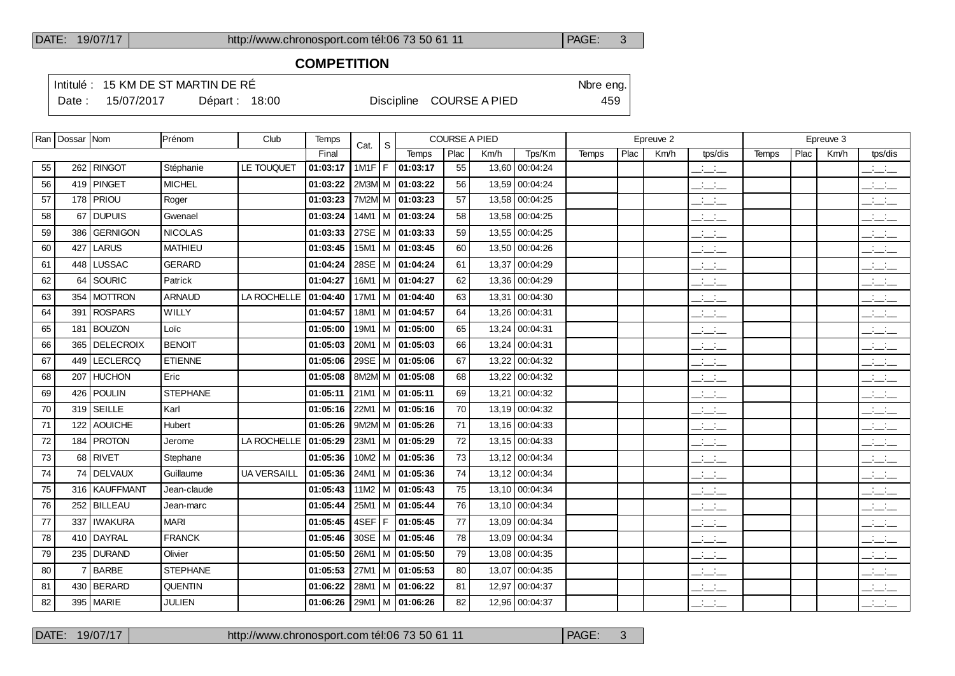### **COMPETITION**

Intitulé : 15 KM DE ST MARTIN DE RÉ

Date : 15/07/2017 Départ : 18:00 Discipline COURSE A PIED 459

|    | Ran   Dossar   Nom |                 | <b>IPrénom</b>  | Club               | Temps    | Cat.     | <sub>S</sub> |                            | <b>COURSE A PIED</b> |       |                |              |      | Epreuve 2 |                                   |       |      | Epreuve 3 |                                                                                                                                                                                                                                                                                                                     |
|----|--------------------|-----------------|-----------------|--------------------|----------|----------|--------------|----------------------------|----------------------|-------|----------------|--------------|------|-----------|-----------------------------------|-------|------|-----------|---------------------------------------------------------------------------------------------------------------------------------------------------------------------------------------------------------------------------------------------------------------------------------------------------------------------|
|    |                    |                 |                 |                    | Final    |          |              | Temps                      | Plac                 | Km/h  | Tps/Km         | <b>Temps</b> | Plac | Km/h      | tps/dis                           | Temps | Plac | Km/h      | tps/dis                                                                                                                                                                                                                                                                                                             |
| 55 |                    | 262 RINGOT      | Stéphanie       | LE TOUQUET         | 01:03:17 | $1M1F$ F |              | 01:03:17                   | 55                   |       | 13,60 00:04:24 |              |      |           | للمناصب                           |       |      |           | $\overline{\phantom{a}}$                                                                                                                                                                                                                                                                                            |
| 56 |                    | 419 PINGET      | <b>MICHEL</b>   |                    | 01:03:22 |          |              | 2M3M M 01:03:22            | 56                   |       | 13,59 00:04:24 |              |      |           | للأسائل                           |       |      |           | بالأسائب                                                                                                                                                                                                                                                                                                            |
| 57 |                    | 178 PRIOU       | Roger           |                    | 01:03:23 |          |              | 7M2M M 01:03:23            | 57                   |       | 13,58 00:04:25 |              |      |           | $\frac{1}{2}$ and $\frac{1}{2}$   |       |      |           | <b>Contract</b><br>$  -$                                                                                                                                                                                                                                                                                            |
| 58 | 67                 | <b>DUPUIS</b>   | Gwenael         |                    | 01:03:24 |          |              | 14M1   M   01:03:24        | 58                   |       | 13,58 00:04:25 |              |      |           | $\overline{\phantom{a}}$          |       |      |           | $\overline{\phantom{a}}$                                                                                                                                                                                                                                                                                            |
| 59 |                    | 386 GERNIGON    | <b>NICOLAS</b>  |                    | 01:03:33 | 27SE     |              | M 01:03:33                 | 59                   |       | 13,55 00:04:25 |              |      |           | $\overline{a}$                    |       |      |           | $\frac{1}{2}$ and $\frac{1}{2}$                                                                                                                                                                                                                                                                                     |
| 60 | 427                | <b>LARUS</b>    | <b>MATHIEU</b>  |                    | 01:03:45 | 15M1     |              | $ M $ 01:03:45             | 60                   |       | 13,50 00:04:26 |              |      |           | $\mathcal{L} = \mathcal{L}$       |       |      |           | $\frac{1}{2}$                                                                                                                                                                                                                                                                                                       |
| 61 | 448                | <b>LUSSAC</b>   | <b>GERARD</b>   |                    | 01:04:24 | 28SE     |              | M 01:04:24                 | 61                   |       | 13,37 00:04:29 |              |      |           | $\overline{\phantom{a}}$          |       |      |           | $\frac{1}{2}$ and $\frac{1}{2}$                                                                                                                                                                                                                                                                                     |
| 62 | 64                 | SOURIC          | Patrick         |                    | 01:04:27 | 16M1     |              | M 01:04:27                 | 62                   |       | 13,36 00:04:29 |              |      |           | للمستحق                           |       |      |           | $\frac{1}{2}$ and $\frac{1}{2}$                                                                                                                                                                                                                                                                                     |
| 63 |                    | 354   MOTTRON   | <b>ARNAUD</b>   | LA ROCHELLE        | 01:04:40 |          |              | 17M1   M   01:04:40        | 63                   |       | 13,31 00:04:30 |              |      |           | $\frac{1}{2}$ and $\frac{1}{2}$   |       |      |           | $\overline{\phantom{a}}$                                                                                                                                                                                                                                                                                            |
| 64 | 391                | <b>ROSPARS</b>  | WILLY           |                    | 01:04:57 | 18M1     |              | M 01:04:57                 | 64                   |       | 13,26 00:04:31 |              |      |           | للمناصب                           |       |      |           | بالبياني                                                                                                                                                                                                                                                                                                            |
| 65 | 181                | <b>BOUZON</b>   | Loïc            |                    | 01:05:00 |          |              | 19M1   M   01:05:00        | 65                   |       | 13,24 00:04:31 |              |      |           | $\frac{1}{2}$ and $\frac{1}{2}$   |       |      |           | $\overline{\phantom{a}}$                                                                                                                                                                                                                                                                                            |
| 66 |                    | 365   DELECROIX | <b>BENOIT</b>   |                    | 01:05:03 |          |              | $20M1$   M   01:05:03      | 66                   |       | 13,24 00:04:31 |              |      |           | للأسائد                           |       |      |           | للأسائب                                                                                                                                                                                                                                                                                                             |
| 67 |                    | 449   LECLERCQ  | <b>ETIENNE</b>  |                    | 01:05:06 |          |              | 29SE   M   01:05:06        | 67                   |       | 13,22 00:04:32 |              |      |           | $ -$                              |       |      |           | $\overline{\phantom{a}}$                                                                                                                                                                                                                                                                                            |
| 68 |                    | 207 HUCHON      | Eric            |                    | 01:05:08 |          |              | 8M2M M 01:05:08            | 68                   |       | 13,22 00:04:32 |              |      |           | سأسأب                             |       |      |           | $\frac{1}{2}$ and $\frac{1}{2}$                                                                                                                                                                                                                                                                                     |
| 69 |                    | 426 POULIN      | <b>STEPHANE</b> |                    | 01:05:11 |          |              | $21M1$ M $ 01:05:11$       | 69                   |       | 13,21 00:04:32 |              |      |           | $\frac{1}{2}$ and $\frac{1}{2}$   |       |      |           | $\mathbb{Z}$ and $\mathbb{Z}$                                                                                                                                                                                                                                                                                       |
| 70 |                    | $319$ SEILLE    | Karl            |                    | 01:05:16 |          |              | $22M1$   M   01:05:16      | 70                   |       | 13,19 00:04:32 |              |      |           | للأسائل                           |       |      |           | $\frac{1}{2}$ and $\frac{1}{2}$                                                                                                                                                                                                                                                                                     |
| 71 |                    | 122 AOUICHE     | Hubert          |                    | 01:05:26 |          |              | 9M2M M 01:05:26            | 71                   |       | 13,16 00:04:33 |              |      |           | $\overline{\phantom{a}}$          |       |      |           | $\mathbb{Z}$ and $\mathbb{Z}$                                                                                                                                                                                                                                                                                       |
| 72 |                    | 184 PROTON      | Jerome          | LA ROCHELLE        | 01:05:29 |          |              | $23M1$   M   01:05:29      | 72                   |       | 13,15 00:04:33 |              |      |           | <b>Service</b><br>$  -$           |       |      |           | <b>Contract Contract</b><br>$  -$                                                                                                                                                                                                                                                                                   |
| 73 |                    | 68 RIVET        | Stephane        |                    | 01:05:36 |          |              | $10M2$ M $ 01:05:36$       | 73                   |       | 13,12 00:04:34 |              |      |           | <b>Contract Contract</b><br>$  -$ |       |      |           | $\overline{\phantom{a}}$                                                                                                                                                                                                                                                                                            |
| 74 |                    | 74 DELVAUX      | Guillaume       | <b>UA VERSAILL</b> | 01:05:36 |          |              | $24M1$   M   01:05:36      | 74                   |       | 13,12 00:04:34 |              |      |           | $\frac{1}{2}$ and $\frac{1}{2}$   |       |      |           | $\frac{1}{2}$ and $\frac{1}{2}$                                                                                                                                                                                                                                                                                     |
| 75 |                    | 316   KAUFFMANT | Jean-claude     |                    | 01:05:43 | 11M2     |              | M 01:05:43                 | 75                   |       | 13,10 00:04:34 |              |      |           | $\frac{1}{2}$ and $\frac{1}{2}$   |       |      |           | $\frac{1}{2}$ and $\frac{1}{2}$                                                                                                                                                                                                                                                                                     |
| 76 |                    | 252 BILLEAU     | Jean-marc       |                    | 01:05:44 | 25M1     |              | $\vert$ M $\vert$ 01:05:44 | 76                   |       | 13,10 00:04:34 |              |      |           | $\frac{1}{2}$                     |       |      |           | $\frac{1}{2}$ $\frac{1}{2}$ $\frac{1}{2}$                                                                                                                                                                                                                                                                           |
| 77 | 337                | <b>IWAKURA</b>  | <b>MARI</b>     |                    | 01:05:45 | 4SEF F   |              | 01:05:45                   | 77                   |       | 13.09 00:04:34 |              |      |           | $\frac{1}{2}$ and $\frac{1}{2}$   |       |      |           | $\frac{1}{2}$ and $\frac{1}{2}$                                                                                                                                                                                                                                                                                     |
| 78 |                    | 410 DAYRAL      | <b>FRANCK</b>   |                    | 01:05:46 |          |              | 30SE   M   01:05:46        | 78                   |       | 13,09 00:04:34 |              |      |           | $\frac{1}{2}$                     |       |      |           | $\overline{\phantom{a}}$                                                                                                                                                                                                                                                                                            |
| 79 |                    | 235 DURAND      | Olivier         |                    | 01:05:50 | 26M1     |              | M 01:05:50                 | 79                   |       | 13,08 00:04:35 |              |      |           | للأسائل                           |       |      |           | $\frac{1}{2}$ and $\frac{1}{2}$                                                                                                                                                                                                                                                                                     |
| 80 | $\overline{7}$     | <b>BARBE</b>    | <b>STEPHANE</b> |                    | 01:05:53 | 27M1     |              | M 01:05:53                 | 80                   | 13,07 | 00:04:35       |              |      |           | $\sim 100$<br>$  -$               |       |      |           | للمستنسب                                                                                                                                                                                                                                                                                                            |
| 81 |                    | 430 BERARD      | <b>QUENTIN</b>  |                    | 01:06:22 | 28M1     |              | M 01:06:22                 | 81                   | 12.97 | 00:04:37       |              |      |           | للأساد                            |       |      |           | $\overline{\phantom{a}}$                                                                                                                                                                                                                                                                                            |
| 82 |                    | 395   MARIE     | <b>JULIEN</b>   |                    | 01:06:26 |          |              | 29M1   M   01:06:26        | 82                   |       | 12,96 00:04:37 |              |      |           | $\frac{1}{2}$ and $\frac{1}{2}$   |       |      |           | $\frac{1}{2}$ $\frac{1}{2}$ $\frac{1}{2}$ $\frac{1}{2}$ $\frac{1}{2}$ $\frac{1}{2}$ $\frac{1}{2}$ $\frac{1}{2}$ $\frac{1}{2}$ $\frac{1}{2}$ $\frac{1}{2}$ $\frac{1}{2}$ $\frac{1}{2}$ $\frac{1}{2}$ $\frac{1}{2}$ $\frac{1}{2}$ $\frac{1}{2}$ $\frac{1}{2}$ $\frac{1}{2}$ $\frac{1}{2}$ $\frac{1}{2}$ $\frac{1}{2}$ |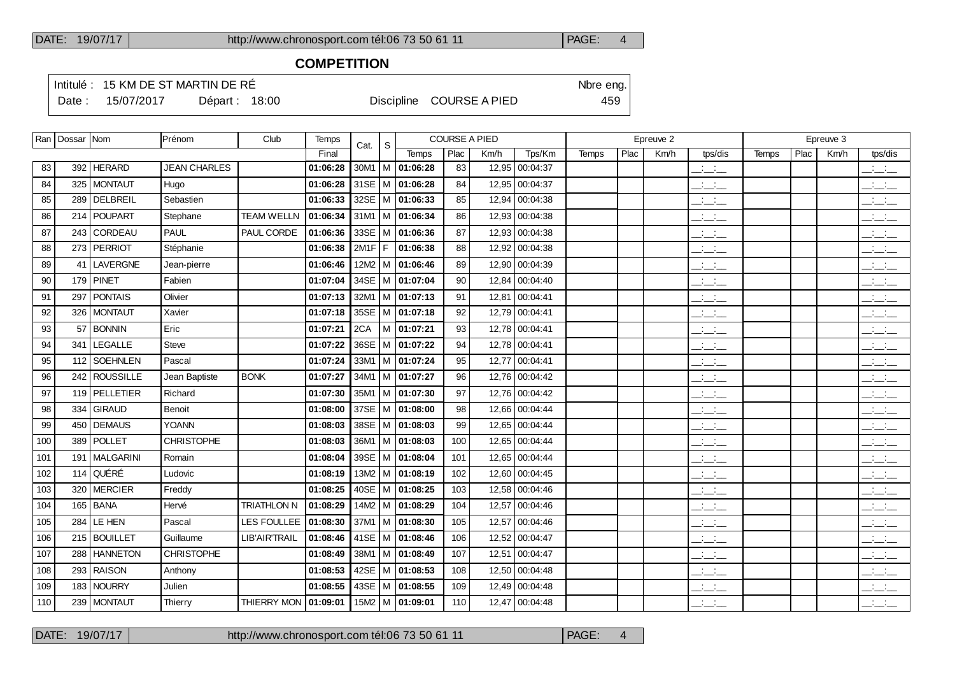### **COMPETITION**

Intitulé : 15 KM DE ST MARTIN DE RÉ

Date : 15/07/2017 Départ : 18:00 Discipline COURSE A PIED 459

|     | Ran   Dossar   Nom |                  | Prénom              | Club                   | Temps    | Cat.     | S |                            | <b>COURSE A PIED</b> |       |                |              |      | Epreuve 2 |                                      |              |      | Epreuve 3 |                                                   |
|-----|--------------------|------------------|---------------------|------------------------|----------|----------|---|----------------------------|----------------------|-------|----------------|--------------|------|-----------|--------------------------------------|--------------|------|-----------|---------------------------------------------------|
|     |                    |                  |                     |                        | Final    |          |   | <b>Temps</b>               | Plac                 | Km/h  | Tps/Km         | <b>Temps</b> | Plac | Km/h      | tps/dis                              | <b>Temps</b> | Plac | Km/h      | tps/dis                                           |
| 83  |                    | 392 HERARD       | <b>JEAN CHARLES</b> |                        | 01:06:28 | 30M1     |   | M 01:06:28                 | 83                   | 12,95 | 00:04:37       |              |      |           | $ -$                                 |              |      |           | $\mathcal{L} = \mathcal{L}$                       |
| 84  | 325                | <b>MONTAUT</b>   | Hugo                |                        | 01:06:28 |          |   | 31SE   M   01:06:28        | 84                   | 12,95 | 00:04:37       |              |      |           | $\overline{\phantom{a}}$             |              |      |           | $\overline{\phantom{a}}$                          |
| 85  | 289                | DELBREIL         | Sebastien           |                        | 01:06:33 |          |   | 32SE   M   01:06:33        | 85                   | 12,94 | 00:04:38       |              |      |           | <b>Contract</b><br>$  -$             |              |      |           | $  -$                                             |
| 86  |                    | 214 POUPART      | Stephane            | <b>TEAM WELLN</b>      | 01:06:34 | 31M1     |   | M 01:06:34                 | 86                   | 12,93 | 00:04:38       |              |      |           | $\frac{1}{2}$ and $\frac{1}{2}$      |              |      |           | للأسائل                                           |
| 87  |                    | 243 CORDEAU      | <b>PAUL</b>         | PAUL CORDE             | 01:06:36 | 33SE   M |   | 01:06:36                   | 87                   | 12,93 | 00:04:38       |              |      |           | $\overline{\phantom{a}}$             |              |      |           | للأستاذ                                           |
| 88  | 273                | <b>PERRIOT</b>   | Stéphanie           |                        | 01:06:38 | $2M1F$ F |   | 01:06:38                   | 88                   | 12,92 | 00:04:38       |              |      |           | $\mathbb{Z}$ and $\mathbb{Z}$        |              |      |           | $\overline{\phantom{a}}$                          |
| 89  | 41                 | LAVERGNE         | Jean-pierre         |                        | 01:06:46 | $12M2$ M |   | 01:06:46                   | 89                   | 12,90 | 00:04:39       |              |      |           | $\frac{1}{2}$ and $\frac{1}{2}$      |              |      |           | <b>Contractor</b><br>---                          |
| 90  |                    | 179 PINET        | Fabien              |                        | 01:07:04 |          |   | 34SE   M   01:07:04        | 90                   | 12.84 | 00:04:40       |              |      |           | $\frac{1}{2}$ and $\frac{1}{2}$      |              |      |           | $\frac{1}{2}$                                     |
| 91  | 297                | <b>PONTAIS</b>   | Olivier             |                        | 01:07:13 | 32M1     |   | M 01:07:13                 | 91                   | 12,81 | 00:04:41       |              |      |           | $ -$                                 |              |      |           | $\frac{1}{2}$ $\frac{1}{2}$ $\frac{1}{2}$         |
| 92  |                    | 326   MONTAUT    | Xavier              |                        | 01:07:18 |          |   | 35SE   M   01:07:18        | 92                   | 12.79 | 00:04:41       |              |      |           | $\frac{1}{2}$ and $\frac{1}{2}$      |              |      |           | $\overline{\phantom{a}}$                          |
| 93  | 57                 | <b>BONNIN</b>    | Eric                |                        | 01:07:21 | 2CA      |   | M 01:07:21                 | 93                   | 12.78 | 00:04:41       |              |      |           | $\frac{1}{2}$ and $\frac{1}{2}$      |              |      |           | $\overline{\phantom{a}}$                          |
| 94  | 341                | LEGALLE          | <b>Steve</b>        |                        | 01:07:22 |          |   | 36SE   M   01:07:22        | 94                   |       | 12,78 00:04:41 |              |      |           | $ -$                                 |              |      |           | $  -$                                             |
| 95  | 112                | <b>SOEHNLEN</b>  | Pascal              |                        | 01:07:24 | 33M1     |   | $\vert$ M $\vert$ 01:07:24 | 95                   | 12,77 | 00:04:41       |              |      |           | $ -$                                 |              |      |           | $\frac{1}{2}$ and $\frac{1}{2}$                   |
| 96  |                    | 242 ROUSSILLE    | Jean Baptiste       | <b>BONK</b>            | 01:07:27 |          |   | 34M1 M 01:07:27            | 96                   |       | 12,76 00:04:42 |              |      |           | $  -$                                |              |      |           | $\frac{1}{2}$ and $\frac{1}{2}$                   |
| 97  |                    | 119 PELLETIER    | Richard             |                        | 01:07:30 | 35M1     |   | M 101:07:30                | 97                   | 12,76 | 00:04:42       |              |      |           | $  -$                                |              |      |           | للأسائل                                           |
| 98  |                    | 334 GIRAUD       | Benoit              |                        | 01:08:00 |          |   | 37SE   M   01:08:00        | 98                   |       | 12,66 00:04:44 |              |      |           | $\mathcal{L} = \{1,2,3,4\}$<br>$  -$ |              |      |           | $  -$                                             |
| 99  |                    | 450   DEMAUS     | <b>YOANN</b>        |                        | 01:08:03 |          |   | 38SE   M   01:08:03        | 99                   | 12,65 | 00:04:44       |              |      |           | للأساس                               |              |      |           | $\frac{1}{2}$                                     |
| 100 |                    | 389   POLLET     | <b>CHRISTOPHE</b>   |                        | 01:08:03 |          |   | $36M1$   M   01:08:03      | 100                  |       | 12,65 00:04:44 |              |      |           | <b>Contract Contract</b><br>$  -$    |              |      |           | للتحليل                                           |
| 101 | 191                | <b>MALGARINI</b> | Romain              |                        | 01:08:04 | 39SE   M |   | 01:08:04                   | 101                  | 12,65 | 00:04:44       |              |      |           | $\frac{1}{2}$ and $\frac{1}{2}$      |              |      |           | $\frac{1}{2}$ and $\frac{1}{2}$                   |
| 102 |                    | 114 QUÉRÉ        | Ludovic             |                        | 01:08:19 |          |   | $13M2$   M   01:08:19      | 102                  |       | 12,60 00:04:45 |              |      |           | $  -$                                |              |      |           | <b>Contract Contract</b><br>$  -$                 |
| 103 | 320                | <b>MERCIER</b>   | Freddy              |                        | 01:08:25 |          |   | 40SE   M   01:08:25        | 103                  | 12,58 | 00:04:46       |              |      |           | $  -$                                |              |      |           | $\overline{\phantom{a}}$                          |
| 104 |                    | 165 BANA         | Hervé               | <b>TRIATHLON N</b>     | 01:08:29 |          |   | 14M2   M   01:08:29        | 104                  | 12,57 | 00:04:46       |              |      |           | $\frac{1}{2}$                        |              |      |           | $\frac{1}{2}$ and $\frac{1}{2}$                   |
| 105 | 284                | LE HEN           | Pascal              | LES FOULLEE            | 01:08:30 | 37M1     |   | M 01:08:30                 | 105                  | 12,57 | 00:04:46       |              |      |           | $  -$                                |              |      |           | للأسائل                                           |
| 106 | 215                | <b>BOUILLET</b>  | Guillaume           | LIB'AIR'TRAIL          | 01:08:46 |          |   | 41SE   M   01:08:46        | 106                  | 12,52 | 00:04:47       |              |      |           | $\mathcal{L} = \mathcal{L}$          |              |      |           | للأستاذ                                           |
| 107 | 288                | <b>HANNETON</b>  | <b>CHRISTOPHE</b>   |                        | 01:08:49 | 38M1     |   | M 01:08:49                 | 107                  | 12,51 | 00:04:47       |              |      |           | $ -$                                 |              |      |           | لأسائل                                            |
| 108 |                    | 293 RAISON       | Anthony             |                        | 01:08:53 |          |   | 42SE   M   01:08:53        | 108                  | 12,50 | 00:04:48       |              |      |           | $\mathbb{Z}$ and $\mathbb{Z}$        |              |      |           | بأبيائيا                                          |
| 109 | 183                | <b>NOURRY</b>    | Julien              |                        | 01:08:55 |          |   | 43SE   M   01:08:55        | 109                  | 12.49 | 00:04:48       |              |      |           | $\overline{\phantom{a}}$             |              |      |           | للأسائد                                           |
| 110 |                    | 239   MONTAUT    | Thierry             | THIERRY MON   01:09:01 |          |          |   | 15M2   M   01:09:01        | 110                  | 12,47 | 00:04:48       |              |      |           | $ -$                                 |              |      |           | $\overline{\phantom{a}}$ $\overline{\phantom{a}}$ |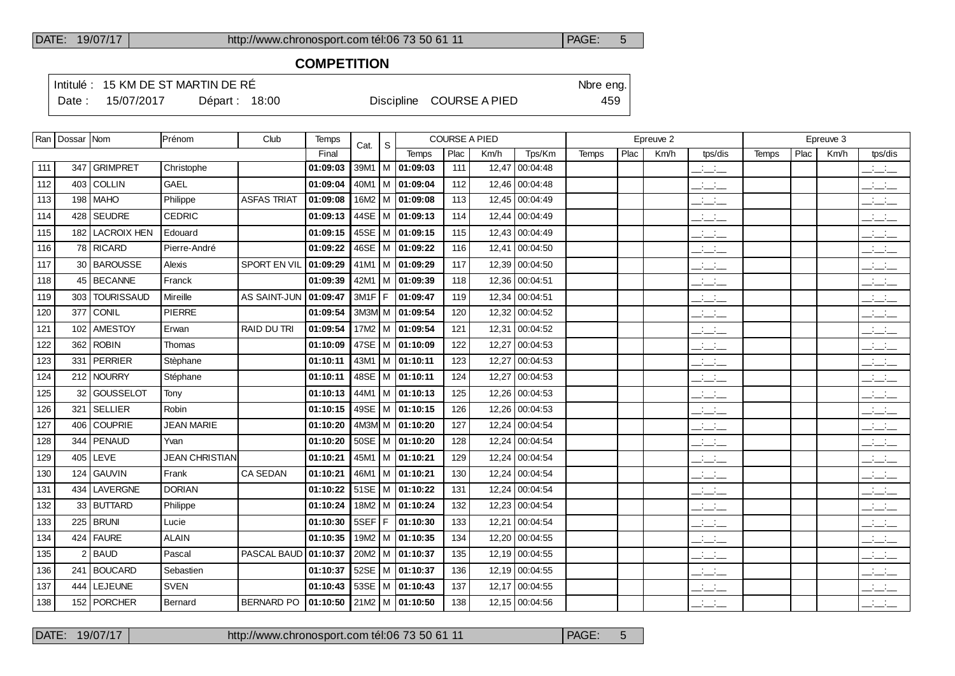$\overline{\phantom{a}}$ 

 $\top$ 

DATE: 19/07/17 http://www.chronosport.com tél:06 73 50 61 11 PAGE: 5

#### **COMPETITION**

Intitulé : 15 KM DE ST MARTIN DE RÉ

Date : 15/07/2017 Départ : 18:00 Discipline COURSE A PIED 459

|     | Ran   Dossar   Nom |                   | Prénom                | Club               | Temps    | Cat.      | S |                       | <b>COURSE A PIED</b> |       |                |       |      | Epreuve 2 |                                 |       |      | Epreuve 3 |                                                       |
|-----|--------------------|-------------------|-----------------------|--------------------|----------|-----------|---|-----------------------|----------------------|-------|----------------|-------|------|-----------|---------------------------------|-------|------|-----------|-------------------------------------------------------|
|     |                    |                   |                       |                    | Final    |           |   | <b>Temps</b>          | Plac                 | Km/h  | Tps/Km         | Temps | Plac | Km/h      | tps/dis                         | Temps | Plac | Km/h      | tps/dis                                               |
| 111 | 347                | <b>GRIMPRET</b>   | Christophe            |                    | 01:09:03 | $39M1$ M  |   | 01:09:03              | 111                  | 12,47 | 00:04:48       |       |      |           | للمناب                          |       |      |           | $ -$                                                  |
| 112 | 403                | <b>COLLIN</b>     | <b>GAEL</b>           |                    | 01:09:04 | 40M1   M  |   | 01:09:04              | 112                  | 12,46 | 00:04:48       |       |      |           | $\frac{1}{2}$ and $\frac{1}{2}$ |       |      |           | $  -$                                                 |
| 113 | 198                | <b>MAHO</b>       | Philippe              | <b>ASFAS TRIAT</b> | 01:09:08 | 16M2   M  |   | 01:09:08              | 113                  |       | 12,45 00:04:49 |       |      |           | للمناصب                         |       |      |           | $\frac{1}{2}$                                         |
| 114 | 428                | SEUDRE            | <b>CEDRIC</b>         |                    | 01:09:13 | 44SE   M  |   | 01:09:13              | 114                  | 12,44 | 00:04:49       |       |      |           | $\frac{1}{2}$ and $\frac{1}{2}$ |       |      |           | سأستخب                                                |
| 115 | 182                | LACROIX HEN       | Edouard               |                    | 01:09:15 | 45SE $ M$ |   | 01:09:15              | 115                  |       | 12,43 00:04:49 |       |      |           | $\mathbb{R}$ and $\mathbb{R}$   |       |      |           | $ -$                                                  |
| 116 |                    | 78 RICARD         | Pierre-André          |                    | 01:09:22 | 46SE   M  |   | 01:09:22              | 116                  | 12,41 | 00:04:50       |       |      |           | للأسائب                         |       |      |           | $\overline{\phantom{a}}$                              |
| 117 | 30                 | <b>BAROUSSE</b>   | Alexis                | SPORT EN VIL       | 01:09:29 | $41M1$ M  |   | 01:09:29              | 117                  |       | 12,39 00:04:50 |       |      |           | $\mathbb{Z}$ and $\mathbb{Z}$   |       |      |           | $\frac{1}{2}$                                         |
| 118 | 45                 | <b>BECANNE</b>    | Franck                |                    | 01:09:39 | $42M1$ M  |   | 01:09:39              | 118                  | 12.36 | 00:04:51       |       |      |           | $\frac{1}{2}$ and $\frac{1}{2}$ |       |      |           | $\frac{1}{2}$ and $\frac{1}{2}$                       |
| 119 | 303                | <b>TOURISSAUD</b> | Mireille              | AS SAINT-JUN       | 01:09:47 | $3M1F$ F  |   | 01:09:47              | 119                  |       | 12,34 00:04:51 |       |      |           | $\frac{1}{2}$ and $\frac{1}{2}$ |       |      |           | $\overline{\phantom{a}}$                              |
| 120 | 377                | CONIL             | <b>PIERRE</b>         |                    | 01:09:54 | 3M3M M    |   | 01:09:54              | 120                  |       | 12,32 00:04:52 |       |      |           | $\overline{\phantom{a}}$        |       |      |           | $\overline{\phantom{a}}$ and $\overline{\phantom{a}}$ |
| 121 | 102                | <b>AMESTOY</b>    | Erwan                 | <b>RAID DU TRI</b> | 01:09:54 | 17M2   M  |   | 01:09:54              | 121                  |       | 12,31 00:04:52 |       |      |           | $\overline{\phantom{a}}$        |       |      |           | $\frac{1}{2}$ and $\frac{1}{2}$                       |
| 122 | 362                | <b>ROBIN</b>      | Thomas                |                    | 01:10:09 | 47SE $ M$ |   | 01:10:09              | 122                  | 12,27 | 00:04:53       |       |      |           | للمستحق                         |       |      |           | $\frac{1}{2}$                                         |
| 123 | 331                | PERRIER           | Stèphane              |                    | 01:10:11 |           |   | $43M1$   M   01:10:11 | 123                  |       | 12,27 00:04:53 |       |      |           | $\overline{\phantom{a}}$        |       |      |           | $\mathbb{R}$ and $\mathbb{R}$                         |
| 124 | 212                | NOURRY            | Stéphane              |                    | 01:10:11 |           |   | 48SE   M   01:10:11   | 124                  |       | 12,27 00:04:53 |       |      |           | للمناصب                         |       |      |           | $\overline{a}$                                        |
| 125 | 32                 | GOUSSELOT         | Tony                  |                    | 01:10:13 | 44M1   M  |   | 01:10:13              | 125                  |       | 12,26 00:04:53 |       |      |           | $\overline{\phantom{a}}$        |       |      |           | $\overline{a}$                                        |
| 126 | 321                | <b>SELLIER</b>    | Robin                 |                    | 01:10:15 | 49SE   M  |   | 01:10:15              | 126                  |       | 12,26 00:04:53 |       |      |           | $\frac{1}{2}$ and $\frac{1}{2}$ |       |      |           | $\overline{\phantom{a}}$                              |
| 127 | 406                | COUPRIE           | <b>JEAN MARIE</b>     |                    | 01:10:20 | $4M3M$ M  |   | 01:10:20              | 127                  |       | 12,24 00:04:54 |       |      |           | $\overline{\phantom{a}}$        |       |      |           | $\overline{\phantom{a}}$                              |
| 128 | 344                | <b>PENAUD</b>     | Yvan                  |                    | 01:10:20 | $50SE$ M  |   | 01:10:20              | 128                  |       | 12,24 00:04:54 |       |      |           | $\mathbb{R}$ and $\mathbb{R}$   |       |      |           | $\overline{\phantom{a}}$                              |
| 129 | 405                | LEVE              | <b>JEAN CHRISTIAN</b> |                    | 01:10:21 | 45M1   M  |   | 01:10:21              | 129                  |       | 12,24 00:04:54 |       |      |           | $\frac{1}{2}$                   |       |      |           | $\overline{a}$                                        |
| 130 | 124                | <b>GAUVIN</b>     | Frank                 | <b>CA SEDAN</b>    | 01:10:21 | $46M1$ M  |   | 01:10:21              | 130                  |       | 12,24 00:04:54 |       |      |           | للمناصب                         |       |      |           | $\frac{1}{2}$ and $\frac{1}{2}$                       |
| 131 | 434                | <b>LAVERGNE</b>   | <b>DORIAN</b>         |                    | 01:10:22 | $51SE$ M  |   | 01:10:22              | 131                  |       | 12,24 00:04:54 |       |      |           | $\mathbb{R}$ and $\mathbb{R}$   |       |      |           | $\mathbb{Z}$ and $\mathbb{Z}$                         |
| 132 | 33                 | <b>BUTTARD</b>    | Philippe              |                    | 01:10:24 | $18M2$ M  |   | 01:10:24              | 132                  |       | 12,23 00:04:54 |       |      |           | للأساس                          |       |      |           | $\frac{1}{2}$ and $\frac{1}{2}$                       |
| 133 | 225                | <b>BRUNI</b>      | Lucie                 |                    | 01:10:30 | 5SEF F    |   | 01:10:30              | 133                  | 12,21 | 00:04:54       |       |      |           | $ -$                            |       |      |           | $\overline{\phantom{a}}$                              |
| 134 |                    | 424   FAURE       | <b>ALAIN</b>          |                    | 01:10:35 | 19M2   M  |   | 01:10:35              | 134                  |       | 12,20 00:04:55 |       |      |           | $\overline{\phantom{a}}$        |       |      |           | $\frac{1}{2}$                                         |
| 135 | 2                  | BAUD              | Pascal                | PASCAL BAUD        | 01:10:37 | $20M2$ M  |   | 01:10:37              | 135                  |       | 12,19 00:04:55 |       |      |           | $ -$                            |       |      |           | $\mathbb{R}$ and $\mathbb{R}$                         |
| 136 | 241                | <b>BOUCARD</b>    | Sebastien             |                    | 01:10:37 | $52SE$ M  |   | 01:10:37              | 136                  |       | 12,19 00:04:55 |       |      |           | $ -$                            |       |      |           | $\mathbb{Z}$ and $\mathbb{Z}$                         |
| 137 | 444                | LEJEUNE           | <b>SVEN</b>           |                    | 01:10:43 | $53SE$ M  |   | 01:10:43              | 137                  | 12.17 | 00:04:55       |       |      |           | $\overline{\phantom{a}}$        |       |      |           | $\overline{a}$                                        |
| 138 |                    | 152 PORCHER       | Bernard               | <b>BERNARD PO</b>  | 01:10:50 |           |   | 21M2   M   01:10:50   | 138                  |       | 12,15 00:04:56 |       |      |           | $\mathcal{L} = \mathcal{L}$     |       |      |           | للأسائل                                               |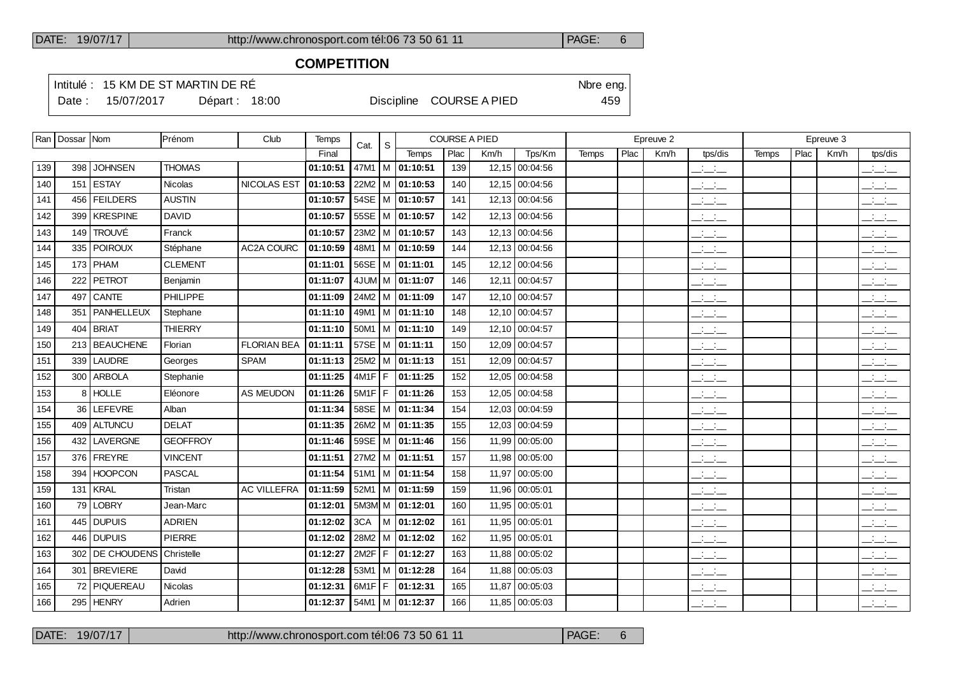### **COMPETITION**

Intitulé : 15 KM DE ST MARTIN DE RÉ

Date : 15/07/2017 Départ : 18:00 Discipline COURSE A PIED 459

|     | Ran   Dossar   Nom |                      | Prénom          | Club               | Temps    | Cat.     | S |                                |      | <b>COURSE A PIED</b> |                |              |      | Epreuve 2 |                                 |              |      | Epreuve 3 |                                 |
|-----|--------------------|----------------------|-----------------|--------------------|----------|----------|---|--------------------------------|------|----------------------|----------------|--------------|------|-----------|---------------------------------|--------------|------|-----------|---------------------------------|
|     |                    |                      |                 |                    | Final    |          |   | Temps                          | Plac | Km/h                 | Tps/Km         | <b>Temps</b> | Plac | Km/h      | tps/dis                         | <b>Temps</b> | Plac | Km/h      | tps/dis                         |
| 139 | 398                | <b>JOHNSEN</b>       | <b>THOMAS</b>   |                    | 01:10:51 |          |   | 47M1   M   01:10:51            | 139  |                      | 12,15 00:04:56 |              |      |           | $\frac{1}{2}$ and $\frac{1}{2}$ |              |      |           | $ -$                            |
| 140 |                    | 151 ESTAY            | <b>Nicolas</b>  | <b>NICOLAS EST</b> | 01:10:53 |          |   | 22M2   M   01:10:53            | 140  |                      | 12.15 00:04:56 |              |      |           | $ -$                            |              |      |           | $ -$                            |
| 141 | 456                | <b>FEILDERS</b>      | <b>AUSTIN</b>   |                    | 01:10:57 |          |   | 54SE   M   01:10:57            | 141  |                      | 12,13 00:04:56 |              |      |           | $\mathcal{L} = \mathcal{L}$     |              |      |           | $\frac{1}{2}$ and $\frac{1}{2}$ |
| 142 | 399                | <b>KRESPINE</b>      | <b>DAVID</b>    |                    | 01:10:57 |          |   | 55SE   M   01:10:57            | 142  |                      | 12,13 00:04:56 |              |      |           | $ -$                            |              |      |           | للأسائل                         |
| 143 | 149                | <b>TROUVÉ</b>        | Franck          |                    | 01:10:57 |          |   | 23M2   M   01:10:57            | 143  |                      | 12,13 00:04:56 |              |      |           | $ -$                            |              |      |           | $ -$                            |
| 144 | 335                | <i>FOIROUX</i>       | Stéphane        | AC2A COURC         | 01:10:59 |          |   | 48M1   M   01:10:59            | 144  |                      | 12,13 00:04:56 |              |      |           | $\frac{1}{2}$ and $\frac{1}{2}$ |              |      |           | $ -$                            |
| 145 |                    | $173$ PHAM           | <b>CLEMENT</b>  |                    | 01:11:01 |          |   | 56SE   M   01:11:01            | 145  |                      | 12,12 00:04:56 |              |      |           | $\overline{\phantom{a}}$        |              |      |           | للأسائل                         |
| 146 | 222                | <b>PETROT</b>        | Benjamin        |                    | 01:11:07 |          |   | 4JUM M $ 01:11:07$             | 146  |                      | 12,11 00:04:57 |              |      |           | $ -$                            |              |      |           | $ -$                            |
| 147 | 497                | <b>CANTE</b>         | <b>PHILIPPE</b> |                    | 01:11:09 |          |   | 24M2   M   01:11:09            | 147  |                      | 12,10 00:04:57 |              |      |           | $\mathbb{Z}$ and $\mathbb{Z}$   |              |      |           | $\mathbb{R}$ and $\mathbb{R}$   |
| 148 |                    | 351   PANHELLEUX     | Stephane        |                    | 01:11:10 |          |   | 49M1   M   01:11:10            | 148  |                      | 12,10 00:04:57 |              |      |           | $\frac{1}{2}$ and $\frac{1}{2}$ |              |      |           | $\frac{1}{2}$ and $\frac{1}{2}$ |
| 149 | 404                | <b>BRIAT</b>         | <b>THIERRY</b>  |                    | 01:11:10 |          |   | $50M1$   M   01:11:10          | 149  |                      | 12,10 00:04:57 |              |      |           | $\overline{\phantom{a}}$        |              |      |           | للأسائل                         |
| 150 |                    | 213 BEAUCHENE        | Florian         | <b>FLORIAN BEA</b> | 01:11:11 |          |   | 57SE   M $ $ 01:11:11          | 150  |                      | 12,09 00:04:57 |              |      |           | للمناصب                         |              |      |           | $\overline{\phantom{a}}$        |
| 151 | 339                | LAUDRE               | Georges         | <b>SPAM</b>        | 01:11:13 |          |   | 25M2   M   01:11:13            | 151  |                      | 12,09 00:04:57 |              |      |           | $ -$                            |              |      |           | للمنافث                         |
| 152 |                    | 300 ARBOLA           | Stephanie       |                    | 01:11:25 | $4M1F$ F |   | 01:11:25                       | 152  |                      | 12.05 00:04:58 |              |      |           | $  -$                           |              |      |           | $\overline{\phantom{a}}$        |
| 153 | 8                  | <b>HOLLE</b>         | Eléonore        | <b>AS MEUDON</b>   | 01:11:26 | $5M1F$ F |   | 01:11:26                       | 153  | 12,05                | 00:04:58       |              |      |           | $ -$                            |              |      |           | $ -$                            |
| 154 |                    | 36 LEFEVRE           | Alban           |                    | 01:11:34 |          |   | 58SE   M   01:11:34            | 154  |                      | 12,03 00:04:59 |              |      |           | $\overline{\phantom{a}}$        |              |      |           | $\overline{\phantom{a}}$        |
| 155 | 409                | <b>ALTUNCU</b>       | <b>DELAT</b>    |                    | 01:11:35 |          |   | 26M2   M   01:11:35            | 155  | 12,03                | 00:04:59       |              |      |           | $ -$                            |              |      |           | $ -$                            |
| 156 |                    | 432   LAVERGNE       | <b>GEOFFROY</b> |                    | 01:11:46 |          |   | 59SE   M   01:11:46            | 156  |                      | 11,99 00:05:00 |              |      |           | $\frac{1}{2}$ and $\frac{1}{2}$ |              |      |           | $\frac{1}{2}$ and $\frac{1}{2}$ |
| 157 | 376                | <b>FREYRE</b>        | <b>VINCENT</b>  |                    | 01:11:51 |          |   | 27M2 M 01:11:51                | 157  | 11.98                | 00:05:00       |              |      |           | $\frac{1}{2}$ and $\frac{1}{2}$ |              |      |           | للأسائل                         |
| 158 | 394                | <b>HOOPCON</b>       | <b>PASCAL</b>   |                    | 01:11:54 |          |   | $51M1$ M $\overline{01:11:54}$ | 158  |                      | 11.97 00:05:00 |              |      |           | سأسأب                           |              |      |           | $\mathbb{R}$ and $\mathbb{R}$   |
| 159 | 131                | <b>KRAL</b>          | Tristan         | <b>AC VILLEFRA</b> | 01:11:59 |          |   | $52M1$ M $ 01:11:59$           | 159  |                      | 11,96 00:05:01 |              |      |           | $\frac{1}{2}$ and $\frac{1}{2}$ |              |      |           | للأسائل                         |
| 160 | 79                 | LOBRY                | Jean-Marc       |                    | 01:12:01 |          |   | $5M3M$ M $ 01:12:01$           | 160  |                      | 11.95 00:05:01 |              |      |           | $\frac{1}{2}$                   |              |      |           | $\mathbb{R}$ and $\mathbb{R}$   |
| 161 | 445                | <b>DUPUIS</b>        | <b>ADRIEN</b>   |                    | 01:12:02 | 3CA      |   | M 01:12:02                     | 161  |                      | 11,95 00:05:01 |              |      |           | للأساس                          |              |      |           | للأسائل                         |
| 162 | 446                | <i><b>DUPUIS</b></i> | <b>PIERRE</b>   |                    | 01:12:02 |          |   | 28M2   M   01:12:02            | 162  |                      | 11,95 00:05:01 |              |      |           | $\mathcal{L} = \mathcal{L}$     |              |      |           | $\mathbb{R}$ and $\mathbb{R}$   |
| 163 | 302                | <b>DE CHOUDENS</b>   | Christelle      |                    | 01:12:27 | 2M2F     | F | 01:12:27                       | 163  |                      | 11,88 00:05:02 |              |      |           | $\frac{1}{2}$ and $\frac{1}{2}$ |              |      |           | $ -$                            |
| 164 |                    | 301 BREVIERE         | David           |                    | 01:12:28 |          |   | $53M1$   M   01:12:28          | 164  |                      | 11,88 00:05:03 |              |      |           | $  -$                           |              |      |           | $\overline{\phantom{a}}$        |
| 165 |                    | 72 PIQUEREAU         | <b>Nicolas</b>  |                    | 01:12:31 | $6M1F$ F |   | 01:12:31                       | 165  | 11,87                | 00:05:03       |              |      |           | للأسائل                         |              |      |           | بالسائد                         |
| 166 |                    | 295   HENRY          | Adrien          |                    | 01:12:37 |          |   | $54M1$   M   01:12:37          | 166  |                      | 11,85 00:05:03 |              |      |           | $ -$                            |              |      |           | $ -$                            |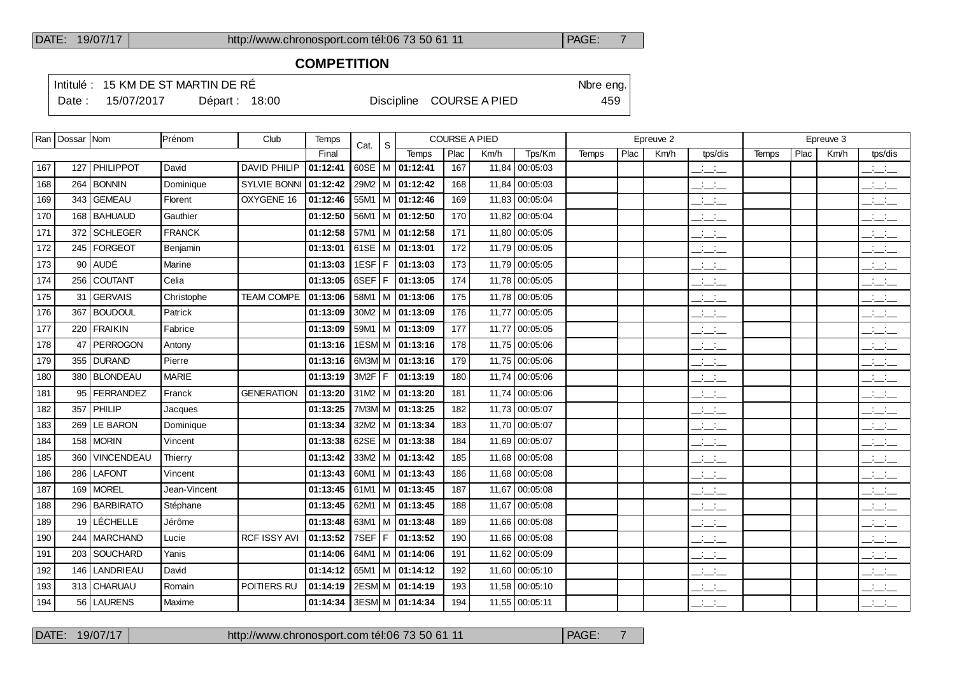### **COMPETITION**

Intitulé : 15 KM DE ST MARTIN DE RÉ

Date : 15/07/2017 Départ : 18:00 Discipline COURSE A PIED 459

|     | Ran   Dossar   Nom |                   | Prénom        | Club                | Temps    | Cat.       | -S |                                | <b>COURSE A PIED</b> |       |                |              |                  | Epreuve 2 |                                 |       |      | Epreuve 3 |                                                                                                                                                                                                                                                                                                                     |
|-----|--------------------|-------------------|---------------|---------------------|----------|------------|----|--------------------------------|----------------------|-------|----------------|--------------|------------------|-----------|---------------------------------|-------|------|-----------|---------------------------------------------------------------------------------------------------------------------------------------------------------------------------------------------------------------------------------------------------------------------------------------------------------------------|
|     |                    |                   |               |                     | Final    |            |    | Temps                          | P <sub>lac</sub>     | Km/h  | Tps/Km         | <b>Temps</b> | P <sub>lac</sub> | Km/h      | tps/dis                         | Temps | Plac | Km/h      | tps/dis                                                                                                                                                                                                                                                                                                             |
| 167 |                    | 127 PHILIPPOT     | David         | <b>DAVID PHILIP</b> | 01:12:41 | $60SE$ M   |    | 01:12:41                       | 167                  | 11,84 | 00:05:03       |              |                  |           | $\overline{\phantom{a}}$        |       |      |           | $\frac{1}{2}$ and $\frac{1}{2}$                                                                                                                                                                                                                                                                                     |
| 168 | 264                | <b>BONNIN</b>     | Dominique     | <b>SYLVIE BONNI</b> | 01:12:42 |            |    | 29M2   M   01:12:42            | 168                  | 11.84 | 00:05:03       |              |                  |           | للأسائد                         |       |      |           | $\frac{1}{2}$                                                                                                                                                                                                                                                                                                       |
| 169 | 343                | <b>GEMEAU</b>     | Florent       | OXYGENE 16          | 01:12:46 |            |    | 55M1 M 01:12:46                | 169                  |       | 11,83 00:05:04 |              |                  |           | $\overline{\phantom{a}}$        |       |      |           | $\frac{1}{2}$ $\frac{1}{2}$ $\frac{1}{2}$ $\frac{1}{2}$ $\frac{1}{2}$ $\frac{1}{2}$ $\frac{1}{2}$ $\frac{1}{2}$ $\frac{1}{2}$ $\frac{1}{2}$ $\frac{1}{2}$ $\frac{1}{2}$ $\frac{1}{2}$ $\frac{1}{2}$ $\frac{1}{2}$ $\frac{1}{2}$ $\frac{1}{2}$ $\frac{1}{2}$ $\frac{1}{2}$ $\frac{1}{2}$ $\frac{1}{2}$ $\frac{1}{2}$ |
| 170 |                    | 168   BAHUAUD     | Gauthier      |                     | 01:12:50 |            |    | 56M1   M   01:12:50            | 170                  | 11,82 | 00:05:04       |              |                  |           | $\overline{\phantom{a}}$        |       |      |           | $\overline{\phantom{a}}$                                                                                                                                                                                                                                                                                            |
| 171 |                    | 372   SCHLEGER    | <b>FRANCK</b> |                     | 01:12:58 |            |    | $57M1$   M   01:12:58          | 171                  | 11,80 | 00:05:05       |              |                  |           | $\overline{\phantom{a}}$        |       |      |           | $\overline{\phantom{a}}$                                                                                                                                                                                                                                                                                            |
| 172 |                    | 245   FORGEOT     | Benjamin      |                     | 01:13:01 | $61SE$ M   |    | 01:13:01                       | 172                  | 11.79 | 00:05:05       |              |                  |           | $\frac{1}{2}$ and $\frac{1}{2}$ |       |      |           | $\frac{1}{2}$ $\frac{1}{2}$ $\frac{1}{2}$ $\frac{1}{2}$ $\frac{1}{2}$ $\frac{1}{2}$ $\frac{1}{2}$ $\frac{1}{2}$ $\frac{1}{2}$ $\frac{1}{2}$ $\frac{1}{2}$ $\frac{1}{2}$ $\frac{1}{2}$ $\frac{1}{2}$ $\frac{1}{2}$ $\frac{1}{2}$ $\frac{1}{2}$ $\frac{1}{2}$ $\frac{1}{2}$ $\frac{1}{2}$ $\frac{1}{2}$ $\frac{1}{2}$ |
| 173 |                    | 90 AUDÉ           | Marine        |                     | 01:13:03 | $1ESF$ $F$ |    | 01:13:03                       | 173                  |       | 11,79 00:05:05 |              |                  |           | للمناصب                         |       |      |           | $\overline{\phantom{a}}$                                                                                                                                                                                                                                                                                            |
| 174 | 256                | COUTANT           | Celia         |                     | 01:13:05 | 6SEF       | F  | 01:13:05                       | 174                  | 11,78 | 00:05:05       |              |                  |           | سأسأب                           |       |      |           | للأسائل                                                                                                                                                                                                                                                                                                             |
| 175 |                    | 31 GERVAIS        | Christophe    | <b>TEAM COMPE</b>   | 01:13:06 |            |    | 58M1   M   01:13:06            | 175                  |       | 11,78 00:05:05 |              |                  |           | $\mathbb{R}$ and $\mathbb{R}$   |       |      |           | للأساب                                                                                                                                                                                                                                                                                                              |
| 176 | 367                | <b>BOUDOUL</b>    | Patrick       |                     | 01:13:09 |            |    | $30M2$ M $\overline{01:13:09}$ | 176                  | 11.77 | 00:05:05       |              |                  |           | $\frac{1}{2}$                   |       |      |           | $\frac{1}{2}$                                                                                                                                                                                                                                                                                                       |
| 177 |                    | 220   FRAIKIN     | Fabrice       |                     | 01:13:09 |            |    | 59M1   M   01:13:09            | 177                  | 11.77 | 00:05:05       |              |                  |           | $\frac{1}{2}$ and $\frac{1}{2}$ |       |      |           | $\frac{1}{2}$                                                                                                                                                                                                                                                                                                       |
| 178 | 47                 | PERROGON          | Antony        |                     | 01:13:16 |            |    | 1ESM M 01:13:16                | 178                  | 11,75 | 00:05:06       |              |                  |           |                                 |       |      |           | $\frac{1}{2}$ $\frac{1}{2}$ $\frac{1}{2}$                                                                                                                                                                                                                                                                           |
| 179 |                    | 355 DURAND        | Pierre        |                     | 01:13:16 |            |    | 6M3M M 01:13:16                | 179                  | 11,75 | 00:05:06       |              |                  |           | $\overline{\phantom{a}}$        |       |      |           | للأساب                                                                                                                                                                                                                                                                                                              |
| 180 |                    | 380 BLONDEAU      | <b>MARIE</b>  |                     | 01:13:19 | 3M2F       | F  | 01:13:19                       | 180                  | 11,74 | 00:05:06       |              |                  |           | $\frac{1}{2}$                   |       |      |           | $\frac{1}{2}$                                                                                                                                                                                                                                                                                                       |
| 181 |                    | 95   FERRANDEZ    | Franck        | <b>GENERATION</b>   | 01:13:20 |            |    | $31M2$   M   01:13:20          | 181                  | 11,74 | 00:05:06       |              |                  |           | $\overline{\phantom{a}}$        |       |      |           | $\frac{1}{2}$                                                                                                                                                                                                                                                                                                       |
| 182 |                    | 357 PHILIP        | Jacques       |                     | 01:13:25 |            |    | 7M3M M 01:13:25                | 182                  |       | 11,73 00:05:07 |              |                  |           | $\frac{1}{2}$ and $\frac{1}{2}$ |       |      |           | $\frac{1}{2}$                                                                                                                                                                                                                                                                                                       |
| 183 | 269                | <b>LE BARON</b>   | Dominique     |                     | 01:13:34 |            |    | $32M2$ M $ 01:13:34$           | 183                  | 11,70 | 00:05:07       |              |                  |           | $\overline{\phantom{a}}$        |       |      |           | $\frac{1}{2}$                                                                                                                                                                                                                                                                                                       |
| 184 |                    | $158$ MORIN       | Vincent       |                     | 01:13:38 |            |    | 62SE   M   01:13:38            | 184                  | 11,69 | 00:05:07       |              |                  |           | $\mathbb{L} \mathbb{L}$         |       |      |           | $\frac{1}{2}$ and $\frac{1}{2}$                                                                                                                                                                                                                                                                                     |
| 185 | 360                | <b>VINCENDEAU</b> | Thierry       |                     | 01:13:42 | 33M2       |    | M 01:13:42                     | 185                  | 11.68 | 00:05:08       |              |                  |           | $\frac{1}{2}$ and $\frac{1}{2}$ |       |      |           | $\frac{1}{2}$ and $\frac{1}{2}$                                                                                                                                                                                                                                                                                     |
| 186 |                    | 286 LAFONT        | Vincent       |                     | 01:13:43 |            |    | 60M1   M $ $ 01:13:43          | 186                  | 11,68 | 00:05:08       |              |                  |           | $\frac{1}{2}$ and $\frac{1}{2}$ |       |      |           | $\frac{1}{2}$                                                                                                                                                                                                                                                                                                       |
| 187 | 169                | MOREL             | Jean-Vincent  |                     | 01:13:45 |            |    | 61M1   M   01:13:45            | 187                  | 11,67 | 00:05:08       |              |                  |           | $\overline{\phantom{a}}$        |       |      |           | $\frac{1}{2}$                                                                                                                                                                                                                                                                                                       |
| 188 |                    | 296   BARBIRATO   | Stéphane      |                     | 01:13:45 |            |    | 62M1   M $ $ 01:13:45          | 188                  | 11,67 | 00:05:08       |              |                  |           | $\frac{1}{2}$ and $\frac{1}{2}$ |       |      |           | $\frac{1}{2}$                                                                                                                                                                                                                                                                                                       |
| 189 |                    | 19 LÉCHELLE       | Jérôme        |                     | 01:13:48 | 63M1   M   |    | 01:13:48                       | 189                  | 11,66 | 00:05:08       |              |                  |           | $\frac{1}{2}$ and $\frac{1}{2}$ |       |      |           | $\frac{1}{2}$ and $\frac{1}{2}$                                                                                                                                                                                                                                                                                     |
| 190 |                    | 244   MARCHAND    | Lucie         | <b>RCF ISSY AVI</b> | 01:13:52 | 7SEF       | F  | 01:13:52                       | 190                  |       | 11,66 00:05:08 |              |                  |           | للمناصب                         |       |      |           | $\frac{1}{2}$                                                                                                                                                                                                                                                                                                       |
| 191 | 203                | SOUCHARD          | Yanis         |                     | 01:14:06 |            |    | 64M1   M $ $ 01:14:06          | 191                  | 11,62 | 00:05:09       |              |                  |           | $\overline{\phantom{a}}$        |       |      |           | $\frac{1}{2}$ and $\frac{1}{2}$                                                                                                                                                                                                                                                                                     |
| 192 |                    | 146 LANDRIEAU     | David         |                     | 01:14:12 |            |    | 65M1   M $ $ 01:14:12          | 192                  |       | 11,60 00:05:10 |              |                  |           | $\mathbb{R}$ and $\mathbb{R}$   |       |      |           | $\overline{\phantom{a}}$                                                                                                                                                                                                                                                                                            |
| 193 |                    | 313 CHARUAU       | Romain        | POITIERS RU         | 01:14:19 |            |    | 2ESM M 01:14:19                | 193                  | 11.58 | 00:05:10       |              |                  |           | $\mathcal{L} = \mathcal{L}$     |       |      |           | للأساد                                                                                                                                                                                                                                                                                                              |
| 194 |                    | 56   LAURENS      | Maxime        |                     | 01:14:34 |            |    | 3ESM M 01:14:34                | 194                  |       | 11,55 00:05:11 |              |                  |           | $\frac{1}{2}$                   |       |      |           | $\frac{1}{2}$                                                                                                                                                                                                                                                                                                       |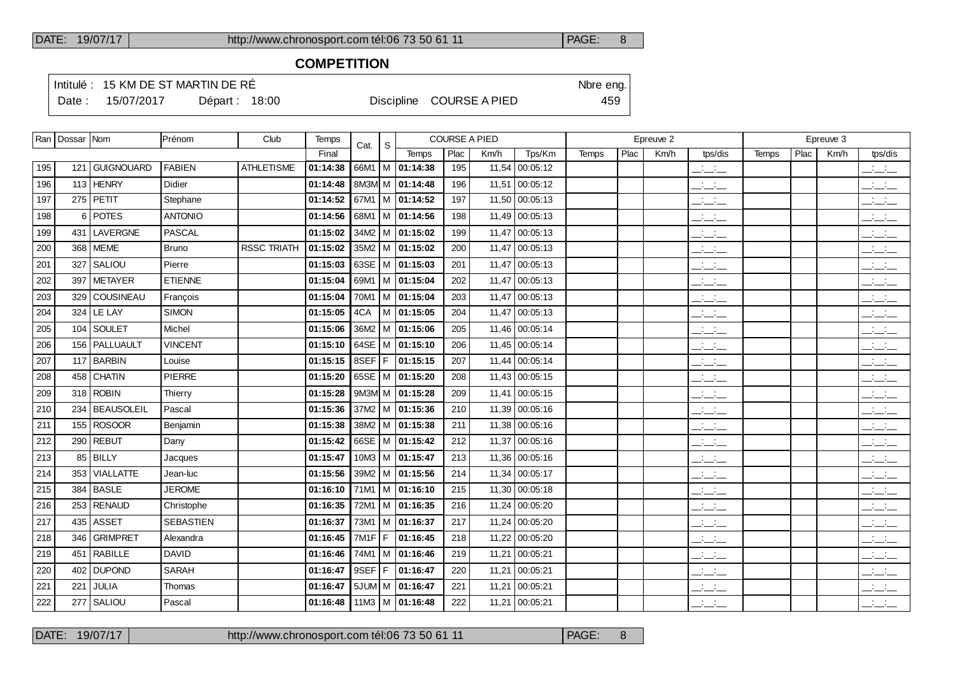### **COMPETITION**

Intitulé : 15 KM DE ST MARTIN DE RÉ

Date : 15/07/2017 Départ : 18:00 Discipline COURSE A PIED 459

|     | Ran   Dossar   Nom |                   | Prénom           | Club               | Temps    | Cat.              | <sub>S</sub> |                            | <b>COURSE A PIED</b> |       |                |       |      | Epreuve 2 |                                           |       |      | Epreuve 3 |                                           |
|-----|--------------------|-------------------|------------------|--------------------|----------|-------------------|--------------|----------------------------|----------------------|-------|----------------|-------|------|-----------|-------------------------------------------|-------|------|-----------|-------------------------------------------|
|     |                    |                   |                  |                    | Final    |                   |              | Temps                      | Plac                 | Km/h  | Tps/Km         | Temps | Plac | Km/h      | tps/dis                                   | Temps | Plac | Km/h      | tps/dis                                   |
| 195 |                    | 121 GUIGNOUARD    | <b>FABIEN</b>    | <b>ATHLETISME</b>  | 01:14:38 | 66M1              |              | M 01:14:38                 | 195                  | 11,54 | 00:05:12       |       |      |           | $\frac{1}{2}$                             |       |      |           | $\mathbb{Z}$ and $\mathbb{Z}$             |
| 196 |                    | 113 HENRY         | Didier           |                    | 01:14:48 |                   |              | 8M3M M 01:14:48            | 196                  | 11,51 | 00:05:12       |       |      |           | $\mathbb{R}$ and $\mathbb{R}$             |       |      |           | $\overline{\phantom{a}}$                  |
| 197 |                    | $275$ PETIT       | Stephane         |                    | 01:14:52 |                   |              | 67M1   M $\sqrt{01:14:52}$ | 197                  | 11,50 | 00:05:13       |       |      |           | $\frac{1}{2}$                             |       |      |           | للأسائل                                   |
| 198 |                    | 6 POTES           | <b>ANTONIO</b>   |                    | 01:14:56 | 68M1              |              | M 01:14:56                 | 198                  | 11.49 | 00:05:13       |       |      |           | $\frac{1}{2}$                             |       |      |           | $\frac{1}{2}$                             |
| 199 |                    | 431 LAVERGNE      | <b>PASCAL</b>    |                    | 01:15:02 |                   |              | 34M2   M   01:15:02        | 199                  | 11.47 | 00:05:13       |       |      |           | $\mathbb{R}$ and $\mathbb{R}$             |       |      |           | $\frac{1}{2}$ and $\frac{1}{2}$           |
| 200 |                    | 368   MEME        | <b>Bruno</b>     | <b>RSSC TRIATH</b> | 01:15:02 |                   |              | $35M2$ M $ 01:15:02$       | 200                  | 11.47 | 00:05:13       |       |      |           | $\frac{1}{2}$                             |       |      |           | للأسائل                                   |
| 201 |                    | 327 SALIOU        | Pierre           |                    | 01:15:03 |                   |              | 63SE   M $ $ 01:15:03      | 201                  | 11.47 | 00:05:13       |       |      |           | $\frac{1}{2}$                             |       |      |           | $\frac{1}{2}$                             |
| 202 | 397                | METAYER           | <b>ETIENNE</b>   |                    | 01:15:04 | 69M1              |              | M 01:15:04                 | 202                  | 11,47 | 00:05:13       |       |      |           | للأسائل                                   |       |      |           | $\frac{1}{2}$                             |
| 203 | 329                | <b>COUSINEAU</b>  | François         |                    | 01:15:04 |                   |              | 70M1   M   01:15:04        | 203                  | 11,47 | 00:05:13       |       |      |           | $\frac{1}{2}$                             |       |      |           | $\overline{a}$                            |
| 204 |                    | 324   LE LAY      | <b>SIMON</b>     |                    | 01:15:05 | 4CA               |              | $M$ 01:15:05               | 204                  | 11,47 | 00:05:13       |       |      |           | $\frac{1}{2}$                             |       |      |           | للأسائل                                   |
| 205 |                    | 104 SOULET        | Michel           |                    | 01:15:06 |                   |              | 36M2   M   01:15:06        | 205                  |       | 11,46 00:05:14 |       |      |           | $\frac{1}{2}$                             |       |      |           | للأسائل                                   |
| 206 |                    | 156   PALLUAULT   | <b>VINCENT</b>   |                    | 01:15:10 |                   |              | 64SE   M   01:15:10        | 206                  | 11,45 | 00:05:14       |       |      |           | $\overline{\phantom{a}}$                  |       |      |           | $\frac{1}{2}$                             |
| 207 |                    | 117 BARBIN        | Louise           |                    | 01:15:15 |                   |              | 8SEF   F   01:15:15        | 207                  |       | 11,44 00:05:14 |       |      |           | $\overline{\phantom{a}}$                  |       |      |           | $\frac{1}{2}$                             |
| 208 | 458                | <b>CHATIN</b>     | <b>PIERRE</b>    |                    | 01:15:20 |                   |              | 65SE   M   01:15:20        | 208                  | 11,43 | 00:05:15       |       |      |           | $ -$                                      |       |      |           | $\mathbb{R}$ and $\mathbb{R}$             |
| 209 |                    | $318$ ROBIN       | Thierry          |                    | 01:15:28 |                   |              | 9M3M M 01:15:28            | 209                  | 11,41 | 00:05:15       |       |      |           | للأسائد                                   |       |      |           | بالسائد                                   |
| 210 | 234                | <b>BEAUSOLEIL</b> | Pascal           |                    | 01:15:36 |                   |              | $37M2$ M $ 01:15:36$       | 210                  | 11,39 | 00:05:16       |       |      |           | $\frac{1}{2}$ $\frac{1}{2}$ $\frac{1}{2}$ |       |      |           | $\frac{1}{2}$ $\frac{1}{2}$ $\frac{1}{2}$ |
| 211 |                    | $155$ ROSOOR      | Benjamin         |                    | 01:15:38 |                   |              | 38M2   M   01:15:38        | 211                  |       | 11,38 00:05:16 |       |      |           | للأسائد                                   |       |      |           | بالسنب                                    |
| 212 |                    | $290$ REBUT       | Dany             |                    | 01:15:42 |                   |              | 66SE   M   01:15:42        | 212                  | 11.37 | 00:05:16       |       |      |           | $\frac{1}{2}$                             |       |      |           | $\mathcal{L} = \mathcal{L}$               |
| 213 |                    | 85 BILLY          | Jacques          |                    | 01:15:47 |                   |              | $10M3$ M $ 01:15:47$       | 213                  |       | 11,36 00:05:16 |       |      |           | للأسائد                                   |       |      |           | بالسنب                                    |
| 214 | 353                | <b>VIALLATTE</b>  | Jean-luc         |                    | 01:15:56 |                   |              | 39M2   M   01:15:56        | 214                  |       | 11,34 00:05:17 |       |      |           | للمناصب                                   |       |      |           | للأسائل                                   |
| 215 |                    | 384 BASLE         | <b>JEROME</b>    |                    | 01:16:10 |                   |              | 71M1 M 01:16:10            | 215                  |       | 11,30 00:05:18 |       |      |           | للأسائد                                   |       |      |           | $\frac{1}{2}$ $\frac{1}{2}$ $\frac{1}{2}$ |
| 216 |                    | 253 RENAUD        | Christophe       |                    | 01:16:35 |                   |              | 72M1   M   01:16:35        | 216                  | 11,24 | 00:05:20       |       |      |           | $\mathcal{L} = \mathcal{L}$               |       |      |           | $\frac{1}{2}$                             |
| 217 |                    | 435 ASSET         | <b>SEBASTIEN</b> |                    | 01:16:37 |                   |              | 73M1   M   01:16:37        | 217                  | 11,24 | 00:05:20       |       |      |           | $\mathcal{L} = \mathcal{L}$               |       |      |           | بالسند                                    |
| 218 | 346                | <b>GRIMPRET</b>   | Alexandra        |                    | 01:16:45 | 7M <sub>1</sub> F | F            | 01:16:45                   | 218                  | 11.22 | 00:05:20       |       |      |           | للأسائد                                   |       |      |           | $\frac{1}{2}$                             |
| 219 |                    | 451 RABILLE       | <b>DAVID</b>     |                    | 01:16:46 | 74M1              |              | M 01:16:46                 | 219                  | 11,21 | 00:05:21       |       |      |           | للمناصب                                   |       |      |           | $\overline{a}$                            |
| 220 |                    | 402 DUPOND        | <b>SARAH</b>     |                    | 01:16:47 | 9SEF              | F            | 01:16:47                   | 220                  | 11,21 | 00:05:21       |       |      |           | $\mathcal{L} = \mathcal{L}$               |       |      |           | $\frac{1}{2}$                             |
| 221 | 221                | JULIA             | Thomas           |                    | 01:16:47 |                   |              | $5JUM$ M $ 01:16:47$       | 221                  | 11,21 | 00:05:21       |       |      |           | $\frac{1}{2}$                             |       |      |           | $\overline{\phantom{a}}$                  |
| 222 |                    | 277   SALIOU      | Pascal           |                    | 01:16:48 |                   |              | $11M3$ M $ 01:16:48$       | 222                  | 11,21 | 00:05:21       |       |      |           | للأسائد                                   |       |      |           | $\mathcal{L} = \mathcal{L}$               |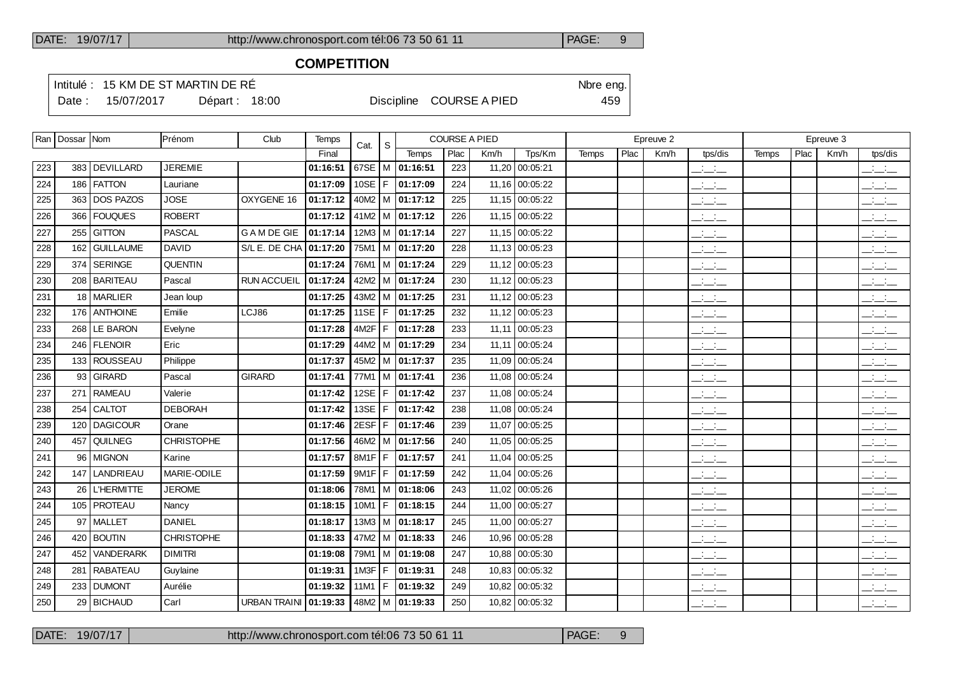### **COMPETITION**

Intitulé : 15 KM DE ST MARTIN DE RÉ

Date : 15/07/2017 Départ : 18:00 Discipline COURSE A PIED 459

|     | Ran   Dossar   Nom |                   | <b>IPrénom</b>    | Club                    | Temps    | Cat.   | S.  |                                | <b>COURSE A PIED</b> |       |                |              |      | Epreuve 2 |                                 |              |      | Epreuve 3 |                                                   |
|-----|--------------------|-------------------|-------------------|-------------------------|----------|--------|-----|--------------------------------|----------------------|-------|----------------|--------------|------|-----------|---------------------------------|--------------|------|-----------|---------------------------------------------------|
|     |                    |                   |                   |                         | Final    |        |     | Temps                          | Plac                 | Km/h  | Tps/Km         | <b>Temps</b> | Plac | Km/h      | tps/dis                         | <b>Temps</b> | Plac | Km/h      | tps/dis                                           |
| 223 |                    | 383 DEVILLARD     | <b>JEREMIE</b>    |                         | 01:16:51 |        |     | 67SE M 01:16:51                | 223                  |       | 11,20 00:05:21 |              |      |           | للمناصب                         |              |      |           | $\overline{\phantom{a}}$                          |
| 224 |                    | 186 FATTON        | Lauriane          |                         | 01:17:09 |        |     | 10SE   F   01:17:09            | 224                  |       | 11,16 00:05:22 |              |      |           | للأسائد                         |              |      |           | $\frac{1}{2}$ and $\frac{1}{2}$                   |
| 225 |                    | 363 DOS PAZOS     | <b>JOSE</b>       | OXYGENE 16              | 01:17:12 |        |     | $40M2$   M   01:17:12          | 225                  |       | 11,15 00:05:22 |              |      |           | $\frac{1}{2}$                   |              |      |           | $\frac{1}{2}$ and $\frac{1}{2}$                   |
| 226 | 366                | <b>FOUQUES</b>    | <b>ROBERT</b>     |                         | 01:17:12 |        |     | 41M2   M $ $ 01:17:12          | 226                  |       | 11,15 00:05:22 |              |      |           | <b>Service</b><br>$  -$         |              |      |           | $\mathbb{R}$ and $\mathbb{R}$                     |
| 227 | 255                | <b>GITTON</b>     | <b>PASCAL</b>     | <b>GAMDE GIE</b>        | 01:17:14 |        |     | $12M3$ M $101:17:14$           | 227                  |       | 11,15 00:05:22 |              |      |           | $\frac{1}{2}$ and $\frac{1}{2}$ |              |      |           | للأسائب                                           |
| 228 | 162                | <b>GUILLAUME</b>  | <b>DAVID</b>      | S/L E. DE CHA 01:17:20  |          |        |     | 75M1   M   01:17:20            | 228                  |       | 11,13 00:05:23 |              |      |           | للمناصب                         |              |      |           | $\overline{\phantom{a}}$                          |
| 229 | 374                | <b>SERINGE</b>    | <b>QUENTIN</b>    |                         | 01:17:24 |        |     | 76M1   M   01:17:24            | 229                  |       | 11,12 00:05:23 |              |      |           | $\frac{1}{2}$ and $\frac{1}{2}$ |              |      |           | $\overline{\phantom{a}}$                          |
| 230 |                    | 208 BARITEAU      | Pascal            | <b>RUN ACCUEIL</b>      | 01:17:24 |        |     | 42M2   M   01:17:24            | 230                  |       | 11,12 00:05:23 |              |      |           | $\mathbb{R}$ and $\mathbb{R}$   |              |      |           | $\overline{\phantom{a}}$                          |
| 231 |                    | 18 MARLIER        | Jean loup         |                         | 01:17:25 |        |     | $43M2$ M $\overline{01:17:25}$ | 231                  |       | 11,12 00:05:23 |              |      |           | $\frac{1}{2}$ and $\frac{1}{2}$ |              |      |           | $\overline{\phantom{a}}$                          |
| 232 |                    | 176 ANTHOINE      | Emilie            | LCJ86                   | 01:17:25 |        |     | 11SE   F   01:17:25            | 232                  |       | 11,12 00:05:23 |              |      |           | $  -$                           |              |      |           | $\overline{\phantom{a}}$ $\overline{\phantom{a}}$ |
| 233 |                    | 268 LE BARON      | Evelyne           |                         | 01:17:28 | 4M2F   | IF. | 01:17:28                       | 233                  |       | 11,11 00:05:23 |              |      |           | $\mathcal{L} = \mathcal{L}$     |              |      |           | $\frac{1}{2}$ $\frac{1}{2}$ $\frac{1}{2}$         |
| 234 |                    | 246 FLENOIR       | Eric              |                         | 01:17:29 |        |     | 44M2   M   01:17:29            | 234                  |       | 11,11 00:05:24 |              |      |           | $\frac{1}{2}$                   |              |      |           | بالأسائب                                          |
| 235 |                    | 133 ROUSSEAU      | Philippe          |                         | 01:17:37 |        |     | 45M2 M 01:17:37                | 235                  |       | 11,09 00:05:24 |              |      |           | للأسائد                         |              |      |           | $\mathbb{R}$ and $\mathbb{R}$                     |
| 236 | 93                 | GIRARD            | Pascal            | <b>GIRARD</b>           | 01:17:41 |        |     | 77M1   M   01:17:41            | 236                  |       | 11,08 00:05:24 |              |      |           | <b>Contract</b><br>$  -$        |              |      |           | $\overline{\phantom{a}}$                          |
| 237 | 271                | <b>RAMEAU</b>     | Valerie           |                         | 01:17:42 |        |     | 12SE   F   01:17:42            | 237                  |       | 11,08 00:05:24 |              |      |           | للمستحق                         |              |      |           | $\frac{1}{2}$ and $\frac{1}{2}$                   |
| 238 | 254                | <b>CALTOT</b>     | <b>DEBORAH</b>    |                         | 01:17:42 |        |     | 13SE   F   01:17:42            | 238                  |       | 11,08 00:05:24 |              |      |           | $\frac{1}{2}$ and $\frac{1}{2}$ |              |      |           | $\mathbb{R}$ and $\mathbb{R}$                     |
| 239 |                    | 120   DAGICOUR    | Orane             |                         | 01:17:46 | 2ESF F |     | 01:17:46                       | 239                  |       | 11,07 00:05:25 |              |      |           | $\frac{1}{2}$                   |              |      |           | للأسائل                                           |
| 240 | 457                | QUILNEG           | <b>CHRISTOPHE</b> |                         | 01:17:56 |        |     | 46M2   M   01:17:56            | 240                  |       | 11,05 00:05:25 |              |      |           | سأنسأ                           |              |      |           | $\overline{\phantom{a}}$                          |
| 241 | 96                 | <b>MIGNON</b>     | Karine            |                         | 01:17:57 |        |     | 8M1F   F   01:17:57            | 241                  | 11,04 | 00:05:25       |              |      |           | $\overline{a}$                  |              |      |           | سأستخب                                            |
| 242 | 147                | LANDRIEAU         | MARIE-ODILE       |                         | 01:17:59 |        |     | $9M1F$ $F$ 01:17:59            | 242                  |       | 11,04 00:05:26 |              |      |           | $\frac{1}{2}$ and $\frac{1}{2}$ |              |      |           | $\mathbb{R}$ and $\mathbb{R}$                     |
| 243 | 26                 | <b>L'HERMITTE</b> | <b>JEROME</b>     |                         | 01:18:06 | 78M1   |     | M 01:18:06                     | 243                  |       | 11,02 00:05:26 |              |      |           | للمناصب                         |              |      |           | $\overline{\phantom{a}}$                          |
| 244 |                    | 105 PROTEAU       | Nancy             |                         | 01:18:15 | 10M1   |     | F 01:18:15                     | 244                  |       | 11,00 00:05:27 |              |      |           | $\frac{1}{2}$ and $\frac{1}{2}$ |              |      |           | $\frac{1}{2}$ $\frac{1}{2}$ $\frac{1}{2}$         |
| 245 |                    | 97   MALLET       | <b>DANIEL</b>     |                         | 01:18:17 |        |     | 13M3   M   01:18:17            | 245                  |       | 11,00 00:05:27 |              |      |           | $\frac{1}{2}$ and $\frac{1}{2}$ |              |      |           | $\mathbb{Z}$ and $\mathbb{Z}$                     |
| 246 |                    | 420 BOUTIN        | <b>CHRISTOPHE</b> |                         | 01:18:33 |        |     | 47M2 M 01:18:33                | 246                  |       | 10,96 00:05:28 |              |      |           | $\frac{1}{2}$                   |              |      |           | $\alpha$ , $\beta$ , $\alpha$<br>$  -$            |
| 247 | 452                | <b>VANDERARK</b>  | <b>DIMITRI</b>    |                         | 01:19:08 |        |     | 79M1   M   01:19:08            | 247                  |       | 10,88 00:05:30 |              |      |           | للمناصب                         |              |      |           | $\frac{1}{2}$                                     |
| 248 | 281                | <b>RABATEAU</b>   | Guylaine          |                         | 01:19:31 | 1M3F   | F   | 01:19:31                       | 248                  |       | 10,83 00:05:32 |              |      |           | <b>Service</b><br>$  -$         |              |      |           | <b>All College</b><br>$  -$                       |
| 249 | 233                | DUMONT            | Aurélie           |                         | 01:19:32 | 11M1   |     | F 01:19:32                     | 249                  |       | 10,82 00:05:32 |              |      |           | $\frac{1}{2}$                   |              |      |           | $\frac{1}{2}$ and $\frac{1}{2}$                   |
| 250 |                    | 29   BICHAUD      | Carl              | URBAN TRAINI   01:19:33 |          |        |     | 48M2   M   01:19:33            | 250                  |       | 10,82 00:05:32 |              |      |           | $ -$                            |              |      |           | $ -$                                              |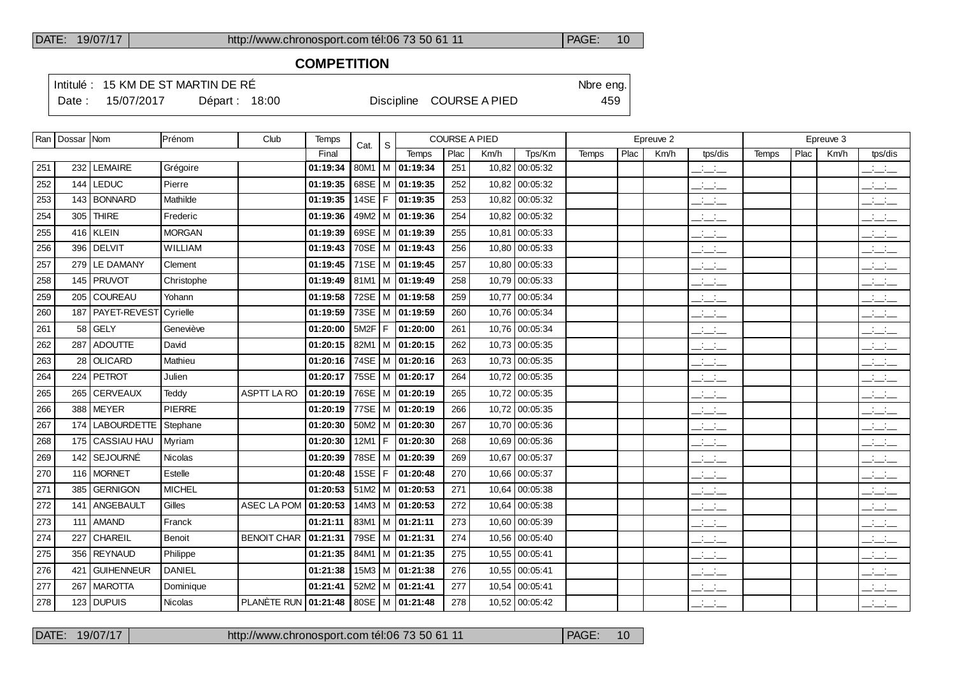#### **COMPETITION**

Intitulé : 15 KM DE ST MARTIN DE RÉ

Date : 15/07/2017 Départ : 18:00 Discipline COURSE A PIED 459

|     | Ran   Dossar   Nom |                    | Prénom         | Club                        | <b>Temps</b> | Cat.        | <sub>S</sub> |              | <b>COURSE A PIED</b> |       |                |              |      | Epreuve 2 |                                                                      |              |      | Epreuve 3 |                                   |
|-----|--------------------|--------------------|----------------|-----------------------------|--------------|-------------|--------------|--------------|----------------------|-------|----------------|--------------|------|-----------|----------------------------------------------------------------------|--------------|------|-----------|-----------------------------------|
|     |                    |                    |                |                             | Final        |             |              | <b>Temps</b> | Plac                 | Km/h  | Tps/Km         | <b>Temps</b> | Plac | Km/h      | tps/dis                                                              | <b>Temps</b> | Plac | Km/h      | tps/dis                           |
| 251 |                    | 232 LEMAIRE        | Grégoire       |                             | 01:19:34     | 80M1        | M            | 01:19:34     | 251                  | 10,82 | 00:05:32       |              |      |           | $\overline{\phantom{a}}$                                             |              |      |           | للأسائل                           |
| 252 | 144                | <b>LEDUC</b>       | Pierre         |                             | 01:19:35     | 68SE        | м            | 01:19:35     | 252                  | 10,82 | 00:05:32       |              |      |           | للمنافث                                                              |              |      |           | $\frac{1}{2}$                     |
| 253 |                    | 143 BONNARD        | Mathilde       |                             | 01:19:35     | 14SE $ F $  |              | 01:19:35     | 253                  | 10,82 | 00:05:32       |              |      |           | $\frac{1}{2}$ and $\frac{1}{2}$                                      |              |      |           | $\frac{1}{2}$                     |
| 254 | 305                | <b>THIRE</b>       | Frederic       |                             | 01:19:36     | 49M2        | l M          | 01:19:36     | 254                  | 10,82 | 00:05:32       |              |      |           | $\mathbb{Z}$ and $\mathbb{Z}$                                        |              |      |           | $\frac{1}{2}$                     |
| 255 |                    | $416$ KLEIN        | <b>MORGAN</b>  |                             | 01:19:39     | 69SE $ M$   |              | 01:19:39     | 255                  | 10.81 | 00:05:33       |              |      |           | $\overline{a}$                                                       |              |      |           | $\overline{a}$ and $\overline{a}$ |
| 256 |                    | 396 DELVIT         | <b>WILLIAM</b> |                             | 01:19:43     | <b>70SE</b> | l M          | 01:19:43     | 256                  | 10,80 | 00:05:33       |              |      |           | $\mathbb{Z}$ and $\mathbb{Z}$                                        |              |      |           | $\frac{1}{2}$                     |
| 257 |                    | 279   LE DAMANY    | Clement        |                             | 01:19:45     | $71SE$ M    |              | 01:19:45     | 257                  | 10,80 | 00:05:33       |              |      |           | $\overline{a}$                                                       |              |      |           | $\frac{1}{2}$ and $\frac{1}{2}$   |
| 258 |                    | 145   PRUVOT       | Christophe     |                             | 01:19:49     | 81M1        | l M          | 01:19:49     | 258                  | 10,79 | 00:05:33       |              |      |           | $ -$                                                                 |              |      |           | $\mathbb{R}$ and $\mathbb{R}$     |
| 259 |                    | 205 COUREAU        | Yohann         |                             | 01:19:58     | 72SE $ M$   |              | 01:19:58     | 259                  | 10,77 | 00:05:34       |              |      |           | <b>Service</b><br>$  -$                                              |              |      |           | $\overline{\phantom{a}}$          |
| 260 |                    | 187   PAYET-REVEST | Cyrielle       |                             | 01:19:59     | 73SE        | l M          | 01:19:59     | 260                  | 10,76 | 00:05:34       |              |      |           | <b>Contractor</b><br>$  -$                                           |              |      |           | للأسائد                           |
| 261 |                    | $58$ GELY          | Geneviève      |                             | 01:20:00     | $5M2F$ F    |              | 01:20:00     | 261                  | 10,76 | 00:05:34       |              |      |           | $\mathcal{A}^{\mathcal{A}}$ and $\mathcal{A}^{\mathcal{A}}$<br>$  -$ |              |      |           | $\frac{1}{2}$                     |
| 262 |                    | 287 ADOUTTE        | David          |                             | 01:20:15     | 82M1        | l M          | 01:20:15     | 262                  | 10,73 | 00:05:35       |              |      |           | سأساب                                                                |              |      |           | للأسائد                           |
| 263 |                    | 28 OLICARD         | Mathieu        |                             | 01:20:16     | 74SE   M    |              | 01:20:16     | 263                  | 10,73 | 00:05:35       |              |      |           | $\mathbb{R}$ and $\mathbb{R}$                                        |              |      |           | $\mathbb{R}$ and $\mathbb{R}$     |
| 264 |                    | 224 PETROT         | Julien         |                             | 01:20:17     | <b>75SE</b> | l M          | 01:20:17     | 264                  | 10,72 | 00:05:35       |              |      |           | $\frac{1}{2}$ and $\frac{1}{2}$                                      |              |      |           | $\mathbb{R}$ and $\mathbb{R}$     |
| 265 |                    | 265   CERVEAUX     | Teddy          | <b>ASPTT LA RO</b>          | 01:20:19     | 76SE   M    |              | 01:20:19     | 265                  | 10,72 | 00:05:35       |              |      |           | للأسائد                                                              |              |      |           | للأساد                            |
| 266 |                    | 388 MEYER          | <b>PIERRE</b>  |                             | 01:20:19     | 77SE $ M$   |              | 01:20:19     | 266                  | 10,72 | 00:05:35       |              |      |           | $\frac{1}{2}$ and $\frac{1}{2}$                                      |              |      |           | $\overline{\phantom{a}}$          |
| 267 |                    | 174 LABOURDETTE    | Stephane       |                             | 01:20:30     | 50M2        | l M          | 01:20:30     | 267                  | 10.70 | 00:05:36       |              |      |           | للمناصب                                                              |              |      |           | $\frac{1}{2}$                     |
| 268 |                    | 175   CASSIAU HAU  | Myriam         |                             | 01:20:30     | 12M1        | l F.         | 01:20:30     | 268                  | 10,69 | 00:05:36       |              |      |           | <b>Contract</b><br>$  -$                                             |              |      |           | $\frac{1}{2}$                     |
| 269 |                    | 142 SEJOURNÉ       | Nicolas        |                             | 01:20:39     | 78SE        | l M          | 01:20:39     | 269                  | 10,67 | 00:05:37       |              |      |           | للمناصب                                                              |              |      |           | $\frac{1}{2}$                     |
| 270 |                    | 116   MORNET       | Estelle        |                             | 01:20:48     | 15SE        | l F.         | 01:20:48     | 270                  | 10,66 | 00:05:37       |              |      |           | سأساب                                                                |              |      |           | $ -$                              |
| 271 | 385                | <b>GERNIGON</b>    | <b>MICHEL</b>  |                             | 01:20:53     | 51M2        | l M          | 01:20:53     | 271                  | 10,64 | 00:05:38       |              |      |           | $\frac{1}{2}$                                                        |              |      |           | $\frac{1}{2}$                     |
| 272 |                    | 141 ANGEBAULT      | Gilles         | ASEC LA POM                 | 01:20:53     | $14M3$ M    |              | 01:20:53     | 272                  | 10,64 | 00:05:38       |              |      |           | $\frac{1}{2}$                                                        |              |      |           | $\mathbb{R}$ and $\mathbb{R}$     |
| 273 | 111                | <b>AMAND</b>       | Franck         |                             | 01:21:11     | 83M1        | м            | 01:21:11     | 273                  | 10,60 | 00:05:39       |              |      |           | $\mathbb{Z}$ and $\mathbb{Z}$                                        |              |      |           | $\frac{1}{2}$                     |
| 274 | 227                | CHAREIL            | Benoit         | <b>BENOIT CHAR</b>          | 01:21:31     | 79SE        | l M          | 01:21:31     | 274                  | 10,56 | 00:05:40       |              |      |           | $\frac{1}{2}$                                                        |              |      |           | $\mathbb{R}$ and $\mathbb{R}$     |
| 275 | 356                | <b>REYNAUD</b>     | Philippe       |                             | 01:21:35     | 84M1        | м            | 01:21:35     | 275                  | 10,55 | 00:05:41       |              |      |           | $\frac{1}{2}$ and $\frac{1}{2}$                                      |              |      |           | $\frac{1}{2}$                     |
| 276 | 421                | <b>GUIHENNEUR</b>  | <b>DANIEL</b>  |                             | 01:21:38     | $15M3$ M    |              | 01:21:38     | 276                  | 10,55 | 00:05:41       |              |      |           | $\frac{1}{2}$ and $\frac{1}{2}$                                      |              |      |           | $\frac{1}{2}$ and $\frac{1}{2}$   |
| 277 | 267                | <b>MAROTTA</b>     | Dominique      |                             | 01:21:41     | 52M2        | M            | 01:21:41     | 277                  | 10,54 | 00:05:41       |              |      |           | $\frac{1}{2}$                                                        |              |      |           | $\frac{1}{2}$                     |
| 278 |                    | $123$ DUPUIS       | <b>Nicolas</b> | <b>PLANÈTE RUN 01:21:48</b> |              | 80SE   M    |              | 01:21:48     | 278                  |       | 10,52 00:05:42 |              |      |           | $\frac{1}{2}$ and $\frac{1}{2}$                                      |              |      |           | $\frac{1}{2}$ and $\frac{1}{2}$   |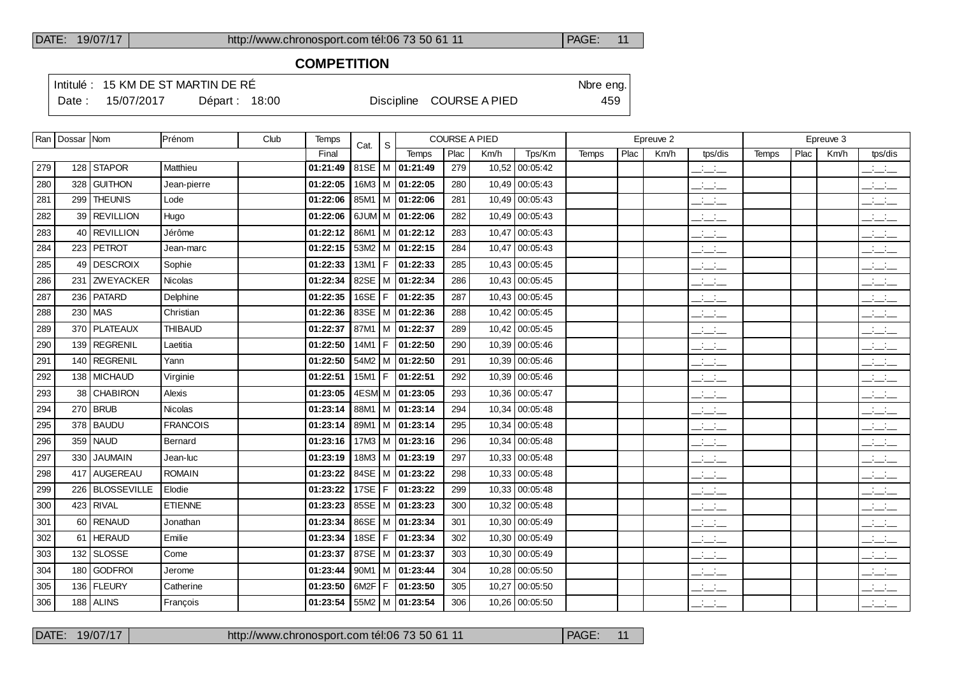### **COMPETITION**

Intitulé : 15 KM DE ST MARTIN DE RÉ

Date : 15/07/2017 Départ : 18:00 Discipline COURSE A PIED 459

|     | Ran   Dossar   Nom |                  | Prénom          | Club | Temps    | Cat.     | S |                       | <b>COURSE A PIED</b> |       |                |              |      | Epreuve 2 |                                 |       |      | Epreuve 3 |                                           |
|-----|--------------------|------------------|-----------------|------|----------|----------|---|-----------------------|----------------------|-------|----------------|--------------|------|-----------|---------------------------------|-------|------|-----------|-------------------------------------------|
|     |                    |                  |                 |      | Final    |          |   | Temps                 | Plac                 | Km/h  | Tps/Km         | <b>Temps</b> | Plac | Km/h      | tps/dis                         | Temps | Plac | Km/h      | tps/dis                                   |
| 279 |                    | 128 STAPOR       | Matthieu        |      | 01:21:49 |          |   | 81SE   M   01:21:49   | 279                  | 10,52 | 00:05:42       |              |      |           | للأسائد                         |       |      |           | $\frac{1}{2}$ and $\frac{1}{2}$           |
| 280 | 328                | GUITHON          | Jean-pierre     |      | 01:22:05 |          |   | 16M3   M   01:22:05   | 280                  | 10,49 | 00:05:43       |              |      |           | $ -$                            |       |      |           | $ -$                                      |
| 281 |                    | 299 THEUNIS      | Lode            |      | 01:22:06 |          |   | 85M1   M   01:22:06   | 281                  |       | 10,49 00:05:43 |              |      |           | $\frac{1}{2}$ and $\frac{1}{2}$ |       |      |           | $\frac{1}{2}$ and $\frac{1}{2}$           |
| 282 |                    | 39 REVILLION     | Hugo            |      | 01:22:06 |          |   | 6JUM M $ 01:22:06$    | 282                  | 10,49 | 00:05:43       |              |      |           | $\overline{\phantom{a}}$        |       |      |           | $\overline{\phantom{a}}$                  |
| 283 |                    | 40 REVILLION     | Jérôme          |      | 01:22:12 |          |   | $86M1$   M   01:22:12 | 283                  | 10,47 | 00:05:43       |              |      |           | للأسائل                         |       |      |           | $\mathbb{R}$ and $\mathbb{R}$             |
| 284 |                    | 223 PETROT       | Jean-marc       |      | 01:22:15 |          |   | $53M2$ M $ 01:22:15$  | 284                  | 10,47 | 00:05:43       |              |      |           | $ -$                            |       |      |           | $\frac{1}{2}$ and $\frac{1}{2}$           |
| 285 |                    | 49 DESCROIX      | Sophie          |      | 01:22:33 |          |   | 13M1   $F$   01:22:33 | 285                  |       | 10,43 00:05:45 |              |      |           | للأساب                          |       |      |           | $\frac{1}{2}$                             |
| 286 | 231                | <b>ZWEYACKER</b> | Nicolas         |      | 01:22:34 |          |   | 82SE   M   01:22:34   | 286                  | 10,43 | 00:05:45       |              |      |           | $ -$                            |       |      |           | للأسائد                                   |
| 287 |                    | 236   PATARD     | Delphine        |      | 01:22:35 |          |   | 16SE   F   01:22:35   | 287                  |       | 10,43 00:05:45 |              |      |           | للأسائد                         |       |      |           | للأسائد                                   |
| 288 |                    | 230   MAS        | Christian       |      | 01:22:36 |          |   | 83SE   M   01:22:36   | 288                  | 10.42 | 00:05:45       |              |      |           | للأساد                          |       |      |           | $\frac{1}{2}$                             |
| 289 |                    | 370   PLATEAUX   | <b>THIBAUD</b>  |      | 01:22:37 |          |   | 87M1   M   01:22:37   | 289                  |       | 10,42 00:05:45 |              |      |           | $\mathbb{R}$ and $\mathbb{R}$   |       |      |           | بالأسائب                                  |
| 290 |                    | 139 REGRENIL     | Laetitia        |      | 01:22:50 | 14M1   F |   | 01:22:50              | 290                  |       | 10,39 00:05:46 |              |      |           | $\frac{1}{2}$ and $\frac{1}{2}$ |       |      |           | $\mathbb{R}$ and $\mathbb{R}$             |
| 291 |                    | 140 REGRENIL     | Yann            |      | 01:22:50 |          |   | 54M2   M   01:22:50   | 291                  |       | 10,39 00:05:46 |              |      |           | $\frac{1}{2}$                   |       |      |           | $\frac{1}{2}$                             |
| 292 |                    | 138   MICHAUD    | Virginie        |      | 01:22:51 |          |   | 15M1   F   01:22:51   | 292                  |       | 10,39 00:05:46 |              |      |           | $\frac{1}{2}$                   |       |      |           | $\frac{1}{2}$                             |
| 293 |                    | 38 CHABIRON      | Alexis          |      | 01:23:05 |          |   | 4ESM M 01:23:05       | 293                  |       | 10,36 00:05:47 |              |      |           | للمناصب                         |       |      |           | $\frac{1}{2}$                             |
| 294 |                    | $270$ BRUB       | <b>Nicolas</b>  |      | 01:23:14 |          |   | 88M1   M   01:23:14   | 294                  | 10,34 | 00:05:48       |              |      |           | $\frac{1}{2}$                   |       |      |           | $\frac{1}{2}$                             |
| 295 |                    | 378 BAUDU        | <b>FRANCOIS</b> |      | 01:23:14 |          |   | 89M1   M   01:23:14   | 295                  |       | 10,34 00:05:48 |              |      |           | للمستحدث                        |       |      |           | $\overline{\phantom{a}}$                  |
| 296 |                    | 359 NAUD         | Bernard         |      | 01:23:16 |          |   | $17M3$ M $ 01:23:16$  | 296                  | 10.34 | 00:05:48       |              |      |           | $\frac{1}{2}$                   |       |      |           | $\mathbb{R}$ and $\mathbb{R}$             |
| 297 | 330                | <b>JAUMAIN</b>   | Jean-luc        |      | 01:23:19 |          |   | 18M3   M   01:23:19   | 297                  |       | 10,33 00:05:48 |              |      |           | $\frac{1}{2}$                   |       |      |           | $\frac{1}{2}$                             |
| 298 |                    | 417 AUGEREAU     | <b>ROMAIN</b>   |      | 01:23:22 |          |   | 84SE   M   01:23:22   | 298                  |       | 10,33 00:05:48 |              |      |           | $ -$                            |       |      |           | $\frac{1}{2}$ and $\frac{1}{2}$           |
| 299 |                    | 226 BLOSSEVILLE  | Elodie          |      | 01:23:22 |          |   | 17SE   F   01:23:22   | 299                  |       | 10,33 00:05:48 |              |      |           | $\frac{1}{2}$                   |       |      |           | $\frac{1}{2}$                             |
| 300 |                    | 423   RIVAL      | <b>ETIENNE</b>  |      | 01:23:23 |          |   | 85SE   M   01:23:23   | 300                  | 10,32 | 00:05:48       |              |      |           | $\frac{1}{2}$ and $\frac{1}{2}$ |       |      |           | للأسائل                                   |
| 301 |                    | 60 RENAUD        | Jonathan        |      | 01:23:34 |          |   | 86SE   M   01:23:34   | 301                  |       | 10,30 00:05:49 |              |      |           | للأسائد                         |       |      |           | $\overline{\phantom{a}}$                  |
| 302 |                    | 61   HERAUD      | Emilie          |      | 01:23:34 | 18SE   F |   | 01:23:34              | 302                  |       | 10,30 00:05:49 |              |      |           | $\frac{1}{2}$                   |       |      |           | $\frac{1}{2}$ and $\frac{1}{2}$           |
| 303 |                    | 132 SLOSSE       | Come            |      | 01:23:37 |          |   | 87SE   M   01:23:37   | 303                  |       | 10,30 00:05:49 |              |      |           | $\frac{1}{2}$                   |       |      |           | للأسائل                                   |
| 304 |                    | 180 GODFROI      | Jerome          |      | 01:23:44 |          |   | 90M1   M $ $ 01:23:44 | 304                  | 10,28 | 00:05:50       |              |      |           | $  -$                           |       |      |           | $\frac{1}{2}$                             |
| 305 |                    | 136   FLEURY     | Catherine       |      | 01:23:50 | 6M2F     |   | F 01:23:50            | 305                  | 10,27 | 00:05:50       |              |      |           | $\frac{1}{2}$                   |       |      |           | للأستخب                                   |
| 306 |                    | $188$ ALINS      | François        |      | 01:23:54 |          |   | $55M2$ M $ 01:23:54$  | 306                  |       | 10,26 00:05:50 |              |      |           | للأسائد                         |       |      |           | $\frac{1}{2}$ $\frac{1}{2}$ $\frac{1}{2}$ |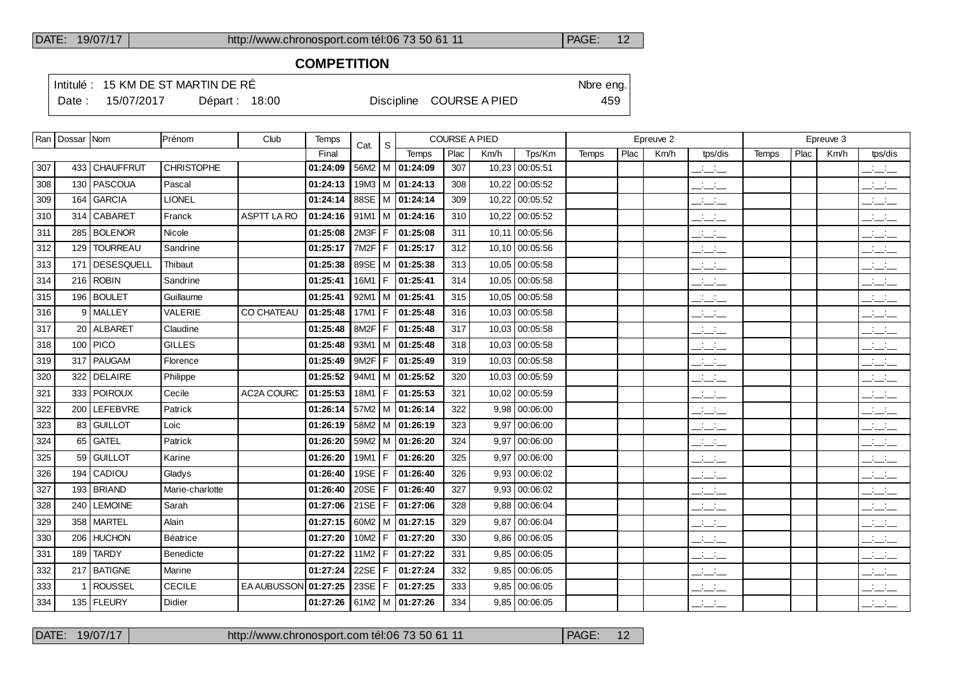### **COMPETITION**

Intitulé : 15 KM DE ST MARTIN DE RÉ

Date : 15/07/2017 Départ : 18:00 Discipline COURSE A PIED 459

|     | Ran   Dossar   Nom |                   | Prénom            | Club               | Temps    | Cat.              | S    |                       |      | <b>COURSE A PIED</b> |                |              |      | Epreuve 2 |                                 |              |      | Epreuve 3 |                                                   |
|-----|--------------------|-------------------|-------------------|--------------------|----------|-------------------|------|-----------------------|------|----------------------|----------------|--------------|------|-----------|---------------------------------|--------------|------|-----------|---------------------------------------------------|
|     |                    |                   |                   |                    | Final    |                   |      | <b>Temps</b>          | Plac | Km/h                 | Tps/Km         | <b>Temps</b> | Plac | Km/h      | tps/dis                         | <b>Temps</b> | Plac | Km/h      | tps/dis                                           |
| 307 |                    | 433 CHAUFFRUT     | <b>CHRISTOPHE</b> |                    | 01:24:09 |                   |      | 56M2   M   01:24:09   | 307  | 10,23                | 00:05:51       |              |      |           | $\frac{1}{2}$ and $\frac{1}{2}$ |              |      |           | $\mathcal{L} = \mathcal{L}$                       |
| 308 |                    | 130   PASCOUA     | Pascal            |                    | 01:24:13 |                   |      | $19M3$ M $ 01:24:13$  | 308  | 10,22                | 00:05:52       |              |      |           | للمناصب                         |              |      |           | لأساب                                             |
| 309 | 164                | <b>GARCIA</b>     | <b>LIONEL</b>     |                    | 01:24:14 |                   |      | 88SE   M   01:24:14   | 309  | 10,22                | 00:05:52       |              |      |           | للمناصب                         |              |      |           | <b>Contract</b><br>$  -$                          |
| 310 | 314                | <b>CABARET</b>    | Franck            | <b>ASPTT LA RO</b> | 01:24:16 |                   |      | $91M1$   M   01:24:16 | 310  | 10,22                | 00:05:52       |              |      |           | $  -$                           |              |      |           | $\frac{1}{2}$                                     |
| 311 | 285                | <b>BOLENOR</b>    | Nicole            |                    | 01:25:08 | 2M3F              | F.   | 01:25:08              | 311  | 10,11                | 00:05:56       |              |      |           | للأسائد                         |              |      |           | للأسائد                                           |
| 312 | 129                | <b>TOURREAU</b>   | Sandrine          |                    | 01:25:17 | 7M <sub>2</sub> F | F.   | 01:25:17              | 312  | 10.10                | 00:05:56       |              |      |           | $  -$                           |              |      |           | $ -$                                              |
| 313 | 171                | <b>DESESQUELL</b> | Thibaut           |                    | 01:25:38 |                   |      | 89SE   M   01:25:38   | 313  | 10.05                | 00:05:58       |              |      |           | $\frac{1}{2}$ and $\frac{1}{2}$ |              |      |           | $\sim 10^{-1}$ m $^{-1}$<br>---                   |
| 314 |                    | $216$ ROBIN       | Sandrine          |                    | 01:25:41 | 16M1   F          |      | 01:25:41              | 314  | 10,05                | 00:05:58       |              |      |           | $ -$                            |              |      |           | $\frac{1}{2}$ $\frac{1}{2}$ $\frac{1}{2}$         |
| 315 |                    | 196   BOULET      | Guillaume         |                    | 01:25:41 |                   |      | $92M1$   M   01:25:41 | 315  | 10,05                | 00:05:58       |              |      |           | $\frac{1}{2}$ and $\frac{1}{2}$ |              |      |           | $  -$                                             |
| 316 |                    | 9 MALLEY          | <b>VALERIE</b>    | <b>CO CHATEAU</b>  | 01:25:48 | 17M1   F          |      | 01:25:48              | 316  | 10,03                | 00:05:58       |              |      |           | للأسائل                         |              |      |           | $\mathbb{R}$ and $\mathbb{R}$                     |
| 317 |                    | 20 ALBARET        | Claudine          |                    | 01:25:48 | 8M2F              | F    | 01:25:48              | 317  | 10.03                | 00:05:58       |              |      |           | $\frac{1}{2}$ and $\frac{1}{2}$ |              |      |           | $\frac{1}{2}$                                     |
| 318 |                    | $100$ PICO        | <b>GILLES</b>     |                    | 01:25:48 |                   |      | 93M1   M $ $ 01:25:48 | 318  |                      | 10,03 00:05:58 |              |      |           | $ -$                            |              |      |           | $\frac{1}{2}$ and $\frac{1}{2}$                   |
| 319 |                    | 317   PAUGAM      | Florence          |                    | 01:25:49 | 9M2F              | F    | 01:25:49              | 319  | 10.03                | 00:05:58       |              |      |           | $\overline{\phantom{a}}$        |              |      |           | $\mathbb{Z}$ and $\mathbb{Z}$                     |
| 320 | 322                | DELAIRE           | Philippe          |                    | 01:25:52 |                   |      | 94M1   M $ $ 01:25:52 | 320  | 10,03                | 00:05:59       |              |      |           | للمناصب                         |              |      |           | $\overline{\phantom{a}}$                          |
| 321 | 333                | <b>POIROUX</b>    | Cecile            | AC2A COURC         | 01:25:53 | 18M1              | F    | 01:25:53              | 321  | 10.02                | 00:05:59       |              |      |           | $\frac{1}{2}$ and $\frac{1}{2}$ |              |      |           | للأسائل                                           |
| 322 | 200                | LEFEBVRE          | Patrick           |                    | 01:26:14 |                   |      | $57M2$ M $ 01:26:14$  | 322  | 9,98                 | 00:06:00       |              |      |           | $\frac{1}{2}$ and $\frac{1}{2}$ |              |      |           | $\mathbb{R}$ and $\mathbb{R}$                     |
| 323 | 83                 | <b>GUILLOT</b>    | Loic              |                    | 01:26:19 | 58M2   M          |      | 01:26:19              | 323  | 9.97                 | 00:06:00       |              |      |           | $\frac{1}{2}$ and $\frac{1}{2}$ |              |      |           | $\overline{\phantom{a}}$                          |
| 324 | 65                 | <b>GATEL</b>      | Patrick           |                    | 01:26:20 |                   |      | $59M2$   M   01:26:20 | 324  | 9,97                 | 00:06:00       |              |      |           | $\frac{1}{2}$ and $\frac{1}{2}$ |              |      |           | $\overline{\phantom{a}}$                          |
| 325 | 59                 | <b>GUILLOT</b>    | Karine            |                    | 01:26:20 | 19M1              | F.   | 01:26:20              | 325  | 9.97                 | 00:06:00       |              |      |           | للأسائل                         |              |      |           | $\frac{1}{2}$                                     |
| 326 | 194                | CADIOU            | Gladys            |                    | 01:26:40 | 19SE $ F $        |      | 01:26:40              | 326  | 9.93                 | 00:06:02       |              |      |           | $\frac{1}{2}$ and $\frac{1}{2}$ |              |      |           | $\frac{1}{2}$                                     |
| 327 | 193                | <b>BRIAND</b>     | Marie-charlotte   |                    | 01:26:40 | 20SE              | F    | 01:26:40              | 327  | 9.93                 | 00:06:02       |              |      |           | $\frac{1}{2}$ and $\frac{1}{2}$ |              |      |           | $\frac{1}{2}$                                     |
| 328 | 240                | <b>LEMOINE</b>    | Sarah             |                    | 01:27:06 | 21SE $ F $        |      | 01:27:06              | 328  | 9.88                 | 00:06:04       |              |      |           | $\frac{1}{2}$                   |              |      |           | $\mathcal{A} \subset \mathcal{A}$ .<br>$  -$      |
| 329 | 358                | <b>MARTEL</b>     | Alain             |                    | 01:27:15 | 60M2              |      | M 01:27:15            | 329  | 9.87                 | 00:06:04       |              |      |           | $ -$                            |              |      |           | $\frac{1}{2}$ $\frac{1}{2}$ $\frac{1}{2}$         |
| 330 | 206                | <b>HUCHON</b>     | Béatrice          |                    | 01:27:20 | 10M2              | l F. | 01:27:20              | 330  | 9.86                 | 00:06:05       |              |      |           | $\frac{1}{2}$                   |              |      |           | <b>Service</b><br>$  -$                           |
| 331 | 189                | <b>TARDY</b>      | Benedicte         |                    | 01:27:22 | 11M2              | F    | 01:27:22              | 331  | 9,85                 | 00:06:05       |              |      |           | للمناصب                         |              |      |           | لأساب                                             |
| 332 |                    | 217 BATIGNE       | Marine            |                    | 01:27:24 | 22SE              | F    | 01:27:24              | 332  | 9,85                 | 00:06:05       |              |      |           | $\frac{1}{2}$                   |              |      |           | <b>All College</b><br>$  -$                       |
| 333 | 1                  | ROUSSEL           | <b>CECILE</b>     | EA AUBUSSON        | 01:27:25 | 23SE              | F    | 01:27:25              | 333  | 9.85                 | 00:06:05       |              |      |           | $\overline{\phantom{a}}$        |              |      |           | $\frac{1}{2}$                                     |
| 334 |                    | 135   FLEURY      | Didier            |                    | 01:27:26 |                   |      | $61M2$   M   01:27:26 | 334  |                      | 9,85 00:06:05  |              |      |           | $ -$                            |              |      |           | $\overline{\phantom{a}}$ $\overline{\phantom{a}}$ |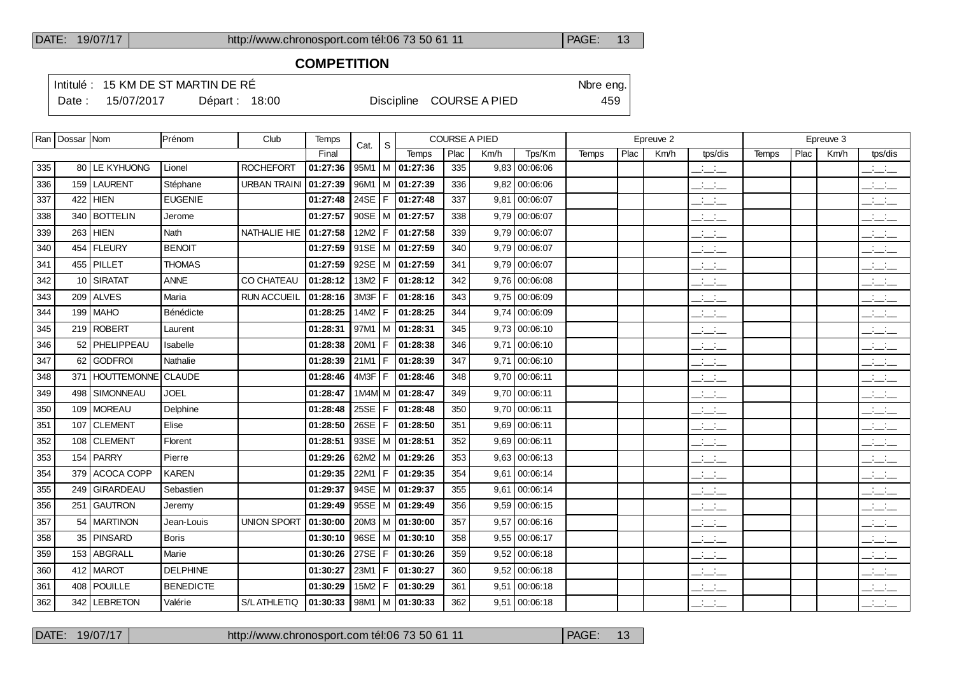# **COMPETITION**

Intitulé : 15 KM DE ST MARTIN DE RÉ

Date : 15/07/2017 Départ : 18:00 Discipline COURSE A PIED 459

|     | Ran   Dossar   Nom |                    | Prénom           | Club                | Temps    | Cat. | $\mathsf{s}$ |                     | <b>COURSE A PIED</b> |      |                 |              |      | Epreuve 3 |                                                                      |       |      |      |                                                       |
|-----|--------------------|--------------------|------------------|---------------------|----------|------|--------------|---------------------|----------------------|------|-----------------|--------------|------|-----------|----------------------------------------------------------------------|-------|------|------|-------------------------------------------------------|
|     |                    |                    |                  |                     | Final    |      |              | Temps               | Plac                 | Km/h | Tps/Km          | <b>Temps</b> | Plac | Km/h      | tps/dis                                                              | Temps | Plac | Km/h | tps/dis                                               |
| 335 | 80                 | LE KYHUONG         | Lionel           | <b>ROCHEFORT</b>    | 01:27:36 | 95M1 | М            | 01:27:36            | 335                  | 9,83 | 00:06:06        |              |      |           | $\frac{1}{2}$ and $\frac{1}{2}$                                      |       |      |      | للأساد                                                |
| 336 | 159                | <b>LAURENT</b>     | Stéphane         | <b>URBAN TRAINI</b> | 01:27:39 | 96M1 | M            | 01:27:39            | 336                  |      | $9,82$ 00:06:06 |              |      |           | $\frac{1}{2}$                                                        |       |      |      | $\frac{1}{2}$                                         |
| 337 | 422                | <b>HIEN</b>        | <b>EUGENIE</b>   |                     | 01:27:48 | 24SE | F            | 01:27:48            | 337                  |      | $9,81$ 00:06:07 |              |      |           |                                                                      |       |      |      | $\frac{1}{2}$                                         |
| 338 | 340                | <b>BOTTELIN</b>    | Jerome           |                     | 01:27:57 | 90SE | M            | 01:27:57            | 338                  | 9.79 | 00:06:07        |              |      |           | $\frac{1}{2}$                                                        |       |      |      | $\frac{1}{2}$                                         |
| 339 | 263                | <b>HIEN</b>        | Nath             | NATHALIE HIE        | 01:27:58 | 12M2 | F            | 01:27:58            | 339                  |      | $9,79$ 00:06:07 |              |      |           | $\overline{\phantom{a}}$                                             |       |      |      | $\frac{1}{2}$                                         |
| 340 | 454                | <b>FLEURY</b>      | <b>BENOIT</b>    |                     | 01:27:59 | 91SE | M            | 01:27:59            | 340                  |      | $9,79$ 00:06:07 |              |      |           | للمستحق                                                              |       |      |      | للأساد                                                |
| 341 | 455                | PILLET             | <b>THOMAS</b>    |                     | 01:27:59 | 92SE | м            | 01:27:59            | 341                  |      | $9,79$ 00:06:07 |              |      |           | $\frac{1}{2}$ and $\frac{1}{2}$                                      |       |      |      | للمناصب                                               |
| 342 | 10                 | <b>SIRATAT</b>     | <b>ANNE</b>      | CO CHATEAU          | 01:28:12 | 13M2 | F            | 01:28:12            | 342                  |      | $9,76$ 00:06:08 |              |      |           |                                                                      |       |      |      | $\overline{\phantom{a}}$                              |
| 343 | 209                | <b>ALVES</b>       | Maria            | <b>RUN ACCUEIL</b>  | 01:28:16 | 3M3F | F            | 01:28:16            | 343                  |      | $9,75$ 00:06:09 |              |      |           | $\mathcal{L}$                                                        |       |      |      | $\frac{1}{2}$                                         |
| 344 | 199                | <b>MAHO</b>        | Bénédicte        |                     | 01:28:25 | 14M2 | F            | 01:28:25            | 344                  |      | $9,74$ 00:06:09 |              |      |           | $\frac{1}{2}$                                                        |       |      |      | للمستحق                                               |
| 345 | 219                | <b>ROBERT</b>      | Laurent          |                     | 01:28:31 | 97M1 |              | M 01:28:31          | 345                  |      | $9,73$ 00:06:10 |              |      |           | $\overline{a}$                                                       |       |      |      | $\frac{1}{2}$                                         |
| 346 | 52                 | PHELIPPEAU         | Isabelle         |                     | 01:28:38 | 20M1 | F            | 01:28:38            | 346                  |      | 9,71 00:06:10   |              |      |           | $\overline{a}$                                                       |       |      |      | $\frac{1}{2}$                                         |
| 347 | 62                 | <b>GODFROI</b>     | Nathalie         |                     | 01:28:39 | 21M1 | F            | 01:28:39            | 347                  |      | $9,71$ 00:06:10 |              |      |           | $\frac{1}{2}$ and $\frac{1}{2}$                                      |       |      |      | $\frac{1}{2}$                                         |
| 348 | 371                | <b>HOUTTEMONNE</b> | <b>CLAUDE</b>    |                     | 01:28:46 | 4M3F | F            | 01:28:46            | 348                  |      | 9,70 00:06:11   |              |      |           | للمناصب                                                              |       |      |      | $\frac{1}{2}$                                         |
| 349 | 498                | <b>SIMONNEAU</b>   | <b>JOEL</b>      |                     | 01:28:47 | 1M4M | м            | 01:28:47            | 349                  |      | 9,70 00:06:11   |              |      |           | $\frac{1}{2}$                                                        |       |      |      | للمستحق                                               |
| 350 | 109                | <b>MOREAU</b>      | Delphine         |                     | 01:28:48 | 25SE | F            | 01:28:48            | 350                  |      | 9,70 00:06:11   |              |      |           | $\frac{1}{2}$ and $\frac{1}{2}$                                      |       |      |      | $\frac{1}{2}$                                         |
| 351 | 107                | <b>CLEMENT</b>     | Elise            |                     | 01:28:50 | 26SE | F            | 01:28:50            | 351                  | 9.69 | 00:06:11        |              |      |           | $\frac{1}{2}$ and $\frac{1}{2}$                                      |       |      |      | $\frac{1}{2}$                                         |
| 352 | 108                | <b>CLEMENT</b>     | Florent          |                     | 01:28:51 | 93SE | M            | 01:28:51            | 352                  |      | 9,69 00:06:11   |              |      |           | $\overline{\phantom{a}}$                                             |       |      |      | للأسائد                                               |
| 353 | 154                | <b>PARRY</b>       | Pierre           |                     | 01:29:26 | 62M2 | м            | 01:29:26            | 353                  | 9.63 | 00:06:13        |              |      |           | $\frac{1}{2}$ and $\frac{1}{2}$                                      |       |      |      | $\frac{1}{2}$                                         |
| 354 | 379                | ACOCA COPP         | <b>KAREN</b>     |                     | 01:29:35 | 22M1 | F            | 01:29:35            | 354                  | 9,61 | 00:06:14        |              |      |           | $\frac{1}{2}$                                                        |       |      |      | للتحليل                                               |
| 355 | 249                | <b>GIRARDEAU</b>   | Sebastien        |                     | 01:29:37 | 94SE | м            | 01:29:37            | 355                  | 9.61 | 00:06:14        |              |      |           | $\frac{1}{2}$ and $\frac{1}{2}$                                      |       |      |      | $\mathbb{R}$ and $\mathbb{R}$                         |
| 356 | 251                | <b>GAUTRON</b>     | Jeremy           |                     | 01:29:49 | 95SE |              | M   01:29:49        | 356                  |      | $9,59$ 00:06:15 |              |      |           | $\frac{1}{2}$ and $\frac{1}{2}$                                      |       |      |      | للمناصب                                               |
| 357 | 54                 | <b>MARTINON</b>    | Jean-Louis       | <b>UNION SPORT</b>  | 01:30:00 | 20M3 | м            | 01:30:00            | 357                  | 9,57 | 00:06:16        |              |      |           | $\mathbb{R}$ and $\mathbb{R}$                                        |       |      |      | $\frac{1}{2}$                                         |
| 358 | 35                 | PINSARD            | <b>Boris</b>     |                     | 01:30:10 | 96SE | м            | 01:30:10            | 358                  | 9.55 | 00:06:17        |              |      |           | $  -$                                                                |       |      |      | $\overline{\phantom{a}}$ and $\overline{\phantom{a}}$ |
| 359 | 153                | <b>ABGRALL</b>     | Marie            |                     | 01:30:26 | 27SE | F            | 01:30:26            | 359                  | 9.52 | 00:06:18        |              |      |           | $\frac{1}{2}$                                                        |       |      |      | للتحليل                                               |
| 360 |                    | 412 MAROT          | <b>DELPHINE</b>  |                     | 01:30:27 | 23M1 | F            | 01:30:27            | 360                  |      | $9,52$ 00:06:18 |              |      |           | $ -$                                                                 |       |      |      | <b>Service</b>                                        |
| 361 | 408                | <b>POUILLE</b>     | <b>BENEDICTE</b> |                     | 01:30:29 | 15M2 | F            | 01:30:29            | 361                  | 9,51 | 00:06:18        |              |      |           | $\mathcal{A}^{\mathcal{A}}$ and $\mathcal{A}^{\mathcal{A}}$<br>$  -$ |       |      |      | $\mathbb{R}$ and $\mathbb{R}$                         |
| 362 |                    | 342   LEBRETON     | Valérie          | S/L ATHLETIQ        | 01:30:33 |      |              | 98M1   M   01:30:33 | 362                  |      | $9,51$ 00:06:18 |              |      |           | $  -$                                                                |       |      |      | $\frac{1}{2}$ and $\frac{1}{2}$                       |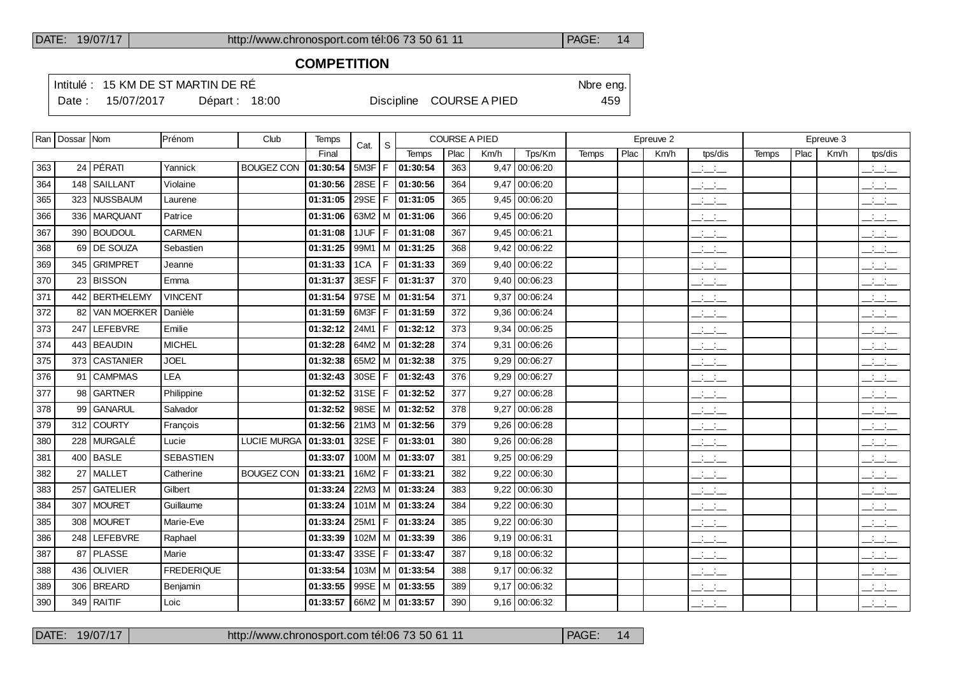### **COMPETITION**

Intitulé : 15 KM DE ST MARTIN DE RÉ

Date : 15/07/2017 Départ : 18:00 Discipline COURSE A PIED 459

|     | Ran   Dossar   Nom |                    | Prénom            | Club               | Temps    | Cat.       | S. |                           | <b>COURSE A PIED</b> |      |                 |              |      | Epreuve 2 |                                           |              |      | Epreuve 3 |                                 |
|-----|--------------------|--------------------|-------------------|--------------------|----------|------------|----|---------------------------|----------------------|------|-----------------|--------------|------|-----------|-------------------------------------------|--------------|------|-----------|---------------------------------|
|     |                    |                    |                   |                    | Final    |            |    | Temps                     | Plac                 | Km/h | Tps/Km          | <b>Temps</b> | Plac | Km/h      | tps/dis                                   | <b>Temps</b> | Plac | Km/h      | tps/dis                         |
| 363 |                    | $24$ PÉRATI        | Yannick           | <b>BOUGEZ CON</b>  | 01:30:54 | 5M3F       | F  | 01:30:54                  | 363                  | 9,47 | 00:06:20        |              |      |           | $ -$                                      |              |      |           | $ -$                            |
| 364 |                    | 148 SAILLANT       | Violaine          |                    | 01:30:56 | 28SE       | F. | 01:30:56                  | 364                  | 9.47 | 00:06:20        |              |      |           | $\frac{1}{2}$ and $\frac{1}{2}$           |              |      |           | $\frac{1}{2}$ and $\frac{1}{2}$ |
| 365 |                    | 323 NUSSBAUM       | Laurene           |                    | 01:31:05 | 29SE $ F $ |    | 01:31:05                  | 365                  | 9,45 | 00:06:20        |              |      |           | $\frac{1}{2}$                             |              |      |           | بالسنب                          |
| 366 |                    | 336   MARQUANT     | Patrice           |                    | 01:31:06 |            |    | 63M2   M $ $ 01:31:06     | 366                  |      | $9,45$ 00:06:20 |              |      |           | للأسائد                                   |              |      |           | للأسائل                         |
| 367 |                    | 390 BOUDOUL        | <b>CARMEN</b>     |                    | 01:31:08 | 1JUF I     |    | F 01:31:08                | 367                  |      | $9,45$ 00:06:21 |              |      |           | للأسائد                                   |              |      |           | للأسائل                         |
| 368 |                    | 69 DE SOUZA        | Sebastien         |                    | 01:31:25 |            |    | 99M1   M   01:31:25       | 368                  | 9,42 | 00:06:22        |              |      |           | $  -$                                     |              |      |           | $\mathbb{R}$ and $\mathbb{R}$   |
| 369 |                    | 345 GRIMPRET       | Jeanne            |                    | 01:31:33 | 1CA        |    | $F$ 01:31:33              | 369                  |      | $9,40$ 00:06:22 |              |      |           | للمناسب                                   |              |      |           | للأسائد                         |
| 370 |                    | 23 BISSON          | Emma              |                    | 01:31:37 | 3ESF       | F  | 01:31:37                  | 370                  | 9,40 | 00:06:23        |              |      |           | $\frac{1}{2}$ and $\frac{1}{2}$           |              |      |           | $\frac{1}{2}$ and $\frac{1}{2}$ |
| 371 |                    | 442 BERTHELEMY     | <b>VINCENT</b>    |                    | 01:31:54 |            |    | 97SE   M   01:31:54       | 371                  | 9,37 | 00:06:24        |              |      |           | للأسائد                                   |              |      |           | $\mathbb{R}$ and $\mathbb{R}$   |
| 372 | 82                 | <b>VAN MOERKER</b> | Danièle           |                    | 01:31:59 | 6M3F       | F  | 01:31:59                  | 372                  | 9.36 | 00:06:24        |              |      |           | سأنسأ                                     |              |      |           | $\frac{1}{2}$                   |
| 373 |                    | 247 LEFEBVRE       | Emilie            |                    | 01:32:12 | 24M1 l     | F  | 01:32:12                  | 373                  | 9.34 | 00:06:25        |              |      |           | للأسائد                                   |              |      |           | بالسائد                         |
| 374 |                    | 443   BEAUDIN      | <b>MICHEL</b>     |                    | 01:32:28 |            |    | 64M2   M $ $ 01:32:28     | 374                  | 9,31 | 00:06:26        |              |      |           | $\frac{1}{2}$                             |              |      |           | للأسائد                         |
| 375 |                    | 373 CASTANIER      | <b>JOEL</b>       |                    | 01:32:38 |            |    | 65M2   M $ $ 01:32:38     | 375                  | 9,29 | 00:06:27        |              |      |           | للمناسب                                   |              |      |           | للأسائل                         |
| 376 |                    | 91   CAMPMAS       | <b>LEA</b>        |                    | 01:32:43 | 30SE       | F. | 01:32:43                  | 376                  | 9,29 | 00:06:27        |              |      |           | $  -$                                     |              |      |           | $\frac{1}{2}$                   |
| 377 |                    | 98 GARTNER         | Philippine        |                    | 01:32:52 | 31SE $ F $ |    | 01:32:52                  | 377                  | 9,27 | 00:06:28        |              |      |           | $\frac{1}{2}$                             |              |      |           | للأسائل                         |
| 378 | 99                 | <b>GANARUL</b>     | Salvador          |                    | 01:32:52 |            |    | 98SE   M   01:32:52       | 378                  | 9.27 | 00:06:28        |              |      |           | $\frac{1}{2}$ and $\frac{1}{2}$           |              |      |           | للتنافث                         |
| 379 |                    | 312 COURTY         | François          |                    | 01:32:56 |            |    | $21M3$ M $ 01:32:56$      | 379                  | 9.26 | 00:06:28        |              |      |           | $\frac{1}{2}$                             |              |      |           | سأستأنث                         |
| 380 |                    | 228 MURGALÉ        | Lucie             | <b>LUCIE MURGA</b> | 01:33:01 | 32SE $ F $ |    | 01:33:01                  | 380                  | 9.26 | 00:06:28        |              |      |           | $\frac{1}{2}$                             |              |      |           | $\frac{1}{2}$                   |
| 381 |                    | 400 BASLE          | <b>SEBASTIEN</b>  |                    | 01:33:07 |            |    | $100M$ M $\vert$ 01:33:07 | 381                  | 9,25 | 00:06:29        |              |      |           | $\frac{1}{2}$                             |              |      |           | بالسند                          |
| 382 |                    | 27   MALLET        | Catherine         | <b>BOUGEZ CON</b>  | 01:33:21 | 16M2       |    | F   01:33:21              | 382                  | 9,22 | 00:06:30        |              |      |           | $ -$                                      |              |      |           | للأسائل                         |
| 383 |                    | 257 GATELIER       | Gilbert           |                    | 01:33:24 |            |    | 22M3   M   01:33:24       | 383                  | 9,22 | 00:06:30        |              |      |           | $\frac{1}{2}$                             |              |      |           | $\frac{1}{2}$                   |
| 384 |                    | 307   MOURET       | Guillaume         |                    | 01:33:24 |            |    | $101M$ M $ 01:33:24$      | 384                  | 9.22 | 00:06:30        |              |      |           | $\frac{1}{2}$ and $\frac{1}{2}$           |              |      |           | للأستخب                         |
| 385 |                    | 308 MOURET         | Marie-Eve         |                    | 01:33:24 | 25M1       |    | $F$ 01:33:24              | 385                  | 9,22 | 00:06:30        |              |      |           | للمناصب                                   |              |      |           | $\overline{\phantom{a}}$        |
| 386 |                    | 248 LEFEBVRE       | Raphael           |                    | 01:33:39 |            |    | $102M$   M   01:33:39     | 386                  |      | 9,19 00:06:31   |              |      |           | $\frac{1}{2}$ $\frac{1}{2}$ $\frac{1}{2}$ |              |      |           | $\frac{1}{2}$                   |
| 387 |                    | 87 PLASSE          | Marie             |                    | 01:33:47 |            |    | 33SE   F   01:33:47       | 387                  |      | $9,18$ 00:06:32 |              |      |           | $\mathcal{L} = \mathcal{L}$               |              |      |           | $\overline{\phantom{a}}$        |
| 388 |                    | 436 OLIVIER        | <b>FREDERIQUE</b> |                    | 01:33:54 |            |    | $103M$   M   01:33:54     | 388                  | 9.17 | 00:06:32        |              |      |           | $\frac{1}{2}$ and $\frac{1}{2}$           |              |      |           | $\mathbb{R}$ and $\mathbb{R}$   |
| 389 |                    | 306   BREARD       | Benjamin          |                    | 01:33:55 |            |    | 99SE   M   01:33:55       | 389                  | 9,17 | 00:06:32        |              |      |           | $\frac{1}{2}$                             |              |      |           | $\frac{1}{2}$                   |
| 390 |                    | 349 RAITIF         | Loic              |                    | 01:33:57 |            |    | 66M2   M   01:33:57       | 390                  |      | 9,16 00:06:32   |              |      |           | $\mathcal{L} = \mathcal{L}$               |              |      |           | $\overline{\phantom{a}}$        |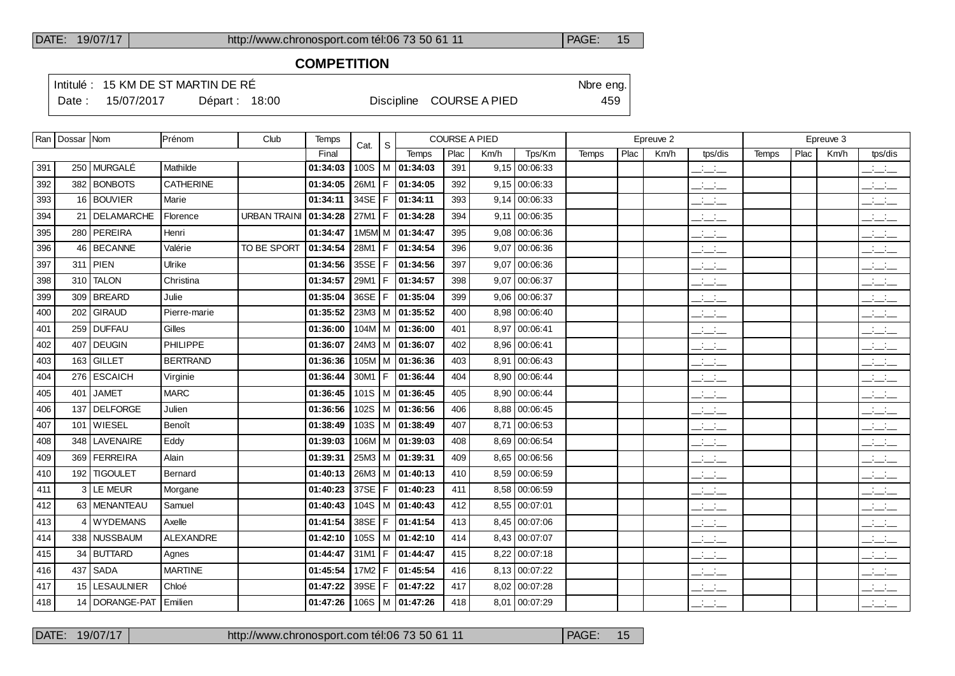### **COMPETITION**

Intitulé : 15 KM DE ST MARTIN DE RÉ

Date : 15/07/2017 Départ : 18:00 Discipline COURSE A PIED 459

|     | Ran   Dossar   Nom |                  | Prénom           | Club                | Temps    | Cat.     | <sub>S</sub> |                                | <b>COURSE A PIED</b> |      |                 |       |      | Epreuve 2 |                          |       |      | Epreuve 3 |                                 |
|-----|--------------------|------------------|------------------|---------------------|----------|----------|--------------|--------------------------------|----------------------|------|-----------------|-------|------|-----------|--------------------------|-------|------|-----------|---------------------------------|
|     |                    |                  |                  |                     | Final    |          |              | <b>Temps</b>                   | Plac                 | Km/h | Tps/Km          | Temps | Plac | Km/h      | tps/dis                  | Temps | Plac | Km/h      | tps/dis                         |
| 391 |                    | 250 MURGALÉ      | Mathilde         |                     | 01:34:03 | 100S     |              | M   01:34:03                   | 391                  |      | $9,15$ 00:06:33 |       |      |           | $ -$                     |       |      |           | $\mathcal{L} = \mathcal{L}$     |
| 392 |                    | 382 BONBOTS      | <b>CATHERINE</b> |                     | 01:34:05 | 26M1     | IF.          | 01:34:05                       | 392                  |      | $9,15$ 00:06:33 |       |      |           | $ -$                     |       |      |           | $\frac{1}{2}$ and $\frac{1}{2}$ |
| 393 |                    | 16 BOUVIER       | Marie            |                     | 01:34:11 | 34SE   F |              | 01:34:11                       | 393                  |      | $9,14$ 00:06:33 |       |      |           | $ -$                     |       |      |           | $\sim 100$<br>$ -$              |
| 394 |                    | 21   DELAMARCHE  | Florence         | <b>URBAN TRAINI</b> | 01:34:28 | 27M1   F |              | 01:34:28                       | 394                  |      | $9,11$ 00:06:35 |       |      |           | $\overline{\phantom{a}}$ |       |      |           | $\frac{1}{2}$ and $\frac{1}{2}$ |
| 395 |                    | 280 PEREIRA      | Henri            |                     | 01:34:47 |          |              | 1M5M M 01:34:47                | 395                  | 9,08 | 00:06:36        |       |      |           | للأساس                   |       |      |           | $\frac{1}{2}$                   |
| 396 |                    | 46   BECANNE     | Valérie          | TO BE SPORT         | 01:34:54 | 28M1   F |              | 01:34:54                       | 396                  |      | 9,07 00:06:36   |       |      |           | سأنسأب                   |       |      |           | سأنسأ                           |
| 397 |                    | 311 PIEN         | Ulrike           |                     | 01:34:56 | 35SE   F |              | 01:34:56                       | 397                  | 9.07 | 00:06:36        |       |      |           | $\overline{\phantom{a}}$ |       |      |           | $\overline{\phantom{a}}$        |
| 398 |                    | 310   TALON      | Christina        |                     | 01:34:57 | 29M1   F |              | 01:34:57                       | 398                  |      | 9,07 00:06:37   |       |      |           | $\overline{\phantom{a}}$ |       |      |           | $\frac{1}{2}$                   |
| 399 |                    | 309 BREARD       | Julie            |                     | 01:35:04 |          |              | 36SE   F   01:35:04            | 399                  | 9,06 | 00:06:37        |       |      |           | $\overline{\phantom{a}}$ |       |      |           | $\frac{1}{2}$                   |
| 400 |                    | 202 GIRAUD       | Pierre-marie     |                     | 01:35:52 |          |              | 23M3   M   01:35:52            | 400                  |      | 8,98 00:06:40   |       |      |           | $\overline{\phantom{a}}$ |       |      |           | $\frac{1}{2}$                   |
| 401 |                    | 259 DUFFAU       | Gilles           |                     | 01:36:00 |          |              | $104M$ M $\overline{01:36:00}$ | 401                  | 8.97 | 00:06:41        |       |      |           | $\overline{\phantom{a}}$ |       |      |           | $\overline{\phantom{a}}$        |
| 402 |                    | 407   DEUGIN     | PHILIPPE         |                     | 01:36:07 |          |              | 24M3   M   01:36:07            | 402                  |      | 8,96 00:06:41   |       |      |           | $\overline{\phantom{a}}$ |       |      |           | $\frac{1}{2}$                   |
| 403 |                    | $163$ GILLET     | <b>BERTRAND</b>  |                     | 01:36:36 |          |              | 105M   M   01:36:36            | 403                  |      | 8,91 00:06:43   |       |      |           | للمناصب                  |       |      |           | $\frac{1}{2}$                   |
| 404 |                    | 276 ESCAICH      | Virginie         |                     | 01:36:44 | 30M1     |              | $ F $ 01:36:44                 | 404                  |      | 8,90 00:06:44   |       |      |           | $\overline{\phantom{a}}$ |       |      |           | $\frac{1}{2}$                   |
| 405 |                    | 401 JAMET        | <b>MARC</b>      |                     | 01:36:45 | 101S     |              | $ M$ 01:36:45                  | 405                  | 8,90 | 00:06:44        |       |      |           | $\overline{\phantom{a}}$ |       |      |           | $\overline{\phantom{a}}$        |
| 406 |                    | 137 DELFORGE     | Julien           |                     | 01:36:56 | 102S     |              | M 01:36:56                     | 406                  |      | 8,88 00:06:45   |       |      |           | للمناصب                  |       |      |           | $\frac{1}{2}$ and $\frac{1}{2}$ |
| 407 |                    | 101 WIESEL       | Benoît           |                     | 01:38:49 | 103S     |              | M 01:38:49                     | 407                  |      | 8,71 00:06:53   |       |      |           | للأساس                   |       |      |           | للمنافث                         |
| 408 | 348 l              | <b>LAVENAIRE</b> | Eddy             |                     | 01:39:03 |          |              | $106M$   M   01:39:03          | 408                  |      | 8.69 00:06:54   |       |      |           | $\overline{\phantom{a}}$ |       |      |           | $\overline{\phantom{a}}$        |
| 409 |                    | 369   FERREIRA   | Alain            |                     | 01:39:31 |          |              | 25M3   M   01:39:31            | 409                  |      | 8,65 00:06:56   |       |      |           | $\overline{\phantom{a}}$ |       |      |           | $\overline{\phantom{a}}$        |
| 410 |                    | 192   TIGOULET   | Bernard          |                     | 01:40:13 |          |              | 26M3   M   01:40:13            | 410                  |      | 8,59 00:06:59   |       |      |           | $\overline{\phantom{a}}$ |       |      |           | $\mathbb{R}$ and $\mathbb{R}$   |
| 411 |                    | 3 LE MEUR        | Morgane          |                     | 01:40:23 |          |              | 37SE   F   01:40:23            | 411                  |      | 8,58 00:06:59   |       |      |           | للمناصب                  |       |      |           | $\frac{1}{2}$                   |
| 412 |                    | 63   MENANTEAU   | Samuel           |                     | 01:40:43 | 104S     |              | M 01:40:43                     | 412                  |      | 8,55 00:07:01   |       |      |           | $  -$                    |       |      |           | $\overline{\phantom{a}}$        |
| 413 |                    | 4   WYDEMANS     | Axelle           |                     | 01:41:54 | 38SE     |              | $ F $ 01:41:54                 | 413                  |      | 8,45 00:07:06   |       |      |           | للأساس                   |       |      |           | $\frac{1}{2}$                   |
| 414 |                    | 338 NUSSBAUM     | <b>ALEXANDRE</b> |                     | 01:42:10 | 105S     |              | $ M$   01:42:10                | 414                  |      | 8,43 00:07:07   |       |      |           | $\overline{\phantom{a}}$ |       |      |           | للأسائد                         |
| 415 |                    | 34 BUTTARD       | Agnes            |                     | 01:44:47 | 31M1     |              | $ F $ 01:44:47                 | 415                  | 8,22 | 00:07:18        |       |      |           | $\overline{\phantom{a}}$ |       |      |           | $\frac{1}{2}$                   |
| 416 |                    | 437 SADA         | <b>MARTINE</b>   |                     | 01:45:54 | 17M2 $F$ |              | 01:45:54                       | 416                  |      | 8,13 00:07:22   |       |      |           | $ -$                     |       |      |           | $\frac{1}{2}$                   |
| 417 |                    | 15 LESAULNIER    | Chloé            |                     | 01:47:22 |          |              | 39SE   F   01:47:22            | 417                  | 8,02 | 00:07:28        |       |      |           | $\overline{\phantom{a}}$ |       |      |           | $\overline{\phantom{a}}$        |
| 418 |                    | 14 DORANGE-PAT   | Emilien          |                     | 01:47:26 |          |              | 106S M 01:47:26                | 418                  |      | 8,01 00:07:29   |       |      |           | $ -$                     |       |      |           | $\frac{1}{2}$ and $\frac{1}{2}$ |